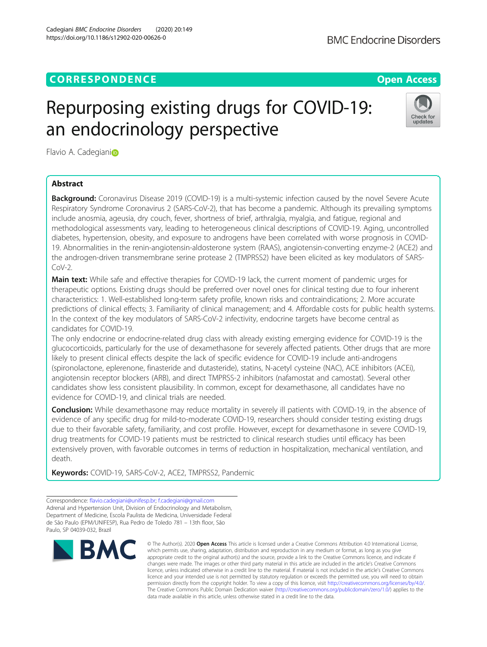## **CORRESPONDENCE CORRESPONDENCE** *CORRESPONDENCE*

# Repurposing existing drugs for COVID-19: an endocrinology perspective

Flav[i](http://orcid.org/0000-0002-2699-4344)o A. Cadegianio

## Abstract

Background: Coronavirus Disease 2019 (COVID-19) is a multi-systemic infection caused by the novel Severe Acute Respiratory Syndrome Coronavirus 2 (SARS-CoV-2), that has become a pandemic. Although its prevailing symptoms include anosmia, ageusia, dry couch, fever, shortness of brief, arthralgia, myalgia, and fatigue, regional and methodological assessments vary, leading to heterogeneous clinical descriptions of COVID-19. Aging, uncontrolled diabetes, hypertension, obesity, and exposure to androgens have been correlated with worse prognosis in COVID-19. Abnormalities in the renin-angiotensin-aldosterone system (RAAS), angiotensin-converting enzyme-2 (ACE2) and the androgen-driven transmembrane serine protease 2 (TMPRSS2) have been elicited as key modulators of SARS- $Cov-2$ .

**Main text:** While safe and effective therapies for COVID-19 lack, the current moment of pandemic urges for therapeutic options. Existing drugs should be preferred over novel ones for clinical testing due to four inherent characteristics: 1. Well-established long-term safety profile, known risks and contraindications; 2. More accurate predictions of clinical effects; 3. Familiarity of clinical management; and 4. Affordable costs for public health systems. In the context of the key modulators of SARS-CoV-2 infectivity, endocrine targets have become central as candidates for COVID-19.

The only endocrine or endocrine-related drug class with already existing emerging evidence for COVID-19 is the glucocorticoids, particularly for the use of dexamethasone for severely affected patients. Other drugs that are more likely to present clinical effects despite the lack of specific evidence for COVID-19 include anti-androgens (spironolactone, eplerenone, finasteride and dutasteride), statins, N-acetyl cysteine (NAC), ACE inhibitors (ACEi), angiotensin receptor blockers (ARB), and direct TMPRSS-2 inhibitors (nafamostat and camostat). Several other candidates show less consistent plausibility. In common, except for dexamethasone, all candidates have no evidence for COVID-19, and clinical trials are needed.

Conclusion: While dexamethasone may reduce mortality in severely ill patients with COVID-19, in the absence of evidence of any specific drug for mild-to-moderate COVID-19, researchers should consider testing existing drugs due to their favorable safety, familiarity, and cost profile. However, except for dexamethasone in severe COVID-19, drug treatments for COVID-19 patients must be restricted to clinical research studies until efficacy has been extensively proven, with favorable outcomes in terms of reduction in hospitalization, mechanical ventilation, and death.

Keywords: COVID-19, SARS-CoV-2, ACE2, TMPRSS2, Pandemic

© The Author(s), 2020 **Open Access** This article is licensed under a Creative Commons Attribution 4.0 International License, which permits use, sharing, adaptation, distribution and reproduction in any medium or format, as long as you give appropriate credit to the original author(s) and the source, provide a link to the Creative Commons licence, and indicate if changes were made. The images or other third party material in this article are included in the article's Creative Commons licence, unless indicated otherwise in a credit line to the material. If material is not included in the article's Creative Commons licence and your intended use is not permitted by statutory regulation or exceeds the permitted use, you will need to obtain

data made available in this article, unless otherwise stated in a credit line to the data.

permission directly from the copyright holder. To view a copy of this licence, visit [http://creativecommons.org/licenses/by/4.0/.](http://creativecommons.org/licenses/by/4.0/) The Creative Commons Public Domain Dedication waiver [\(http://creativecommons.org/publicdomain/zero/1.0/](http://creativecommons.org/publicdomain/zero/1.0/)) applies to the







Correspondence: [flavio.cadegiani@unifesp.br](mailto:flavio.cadegiani@unifesp.br); [f.cadegiani@gmail.com](mailto:f.cadegiani@gmail.com) Adrenal and Hypertension Unit, Division of Endocrinology and Metabolism, Department of Medicine, Escola Paulista de Medicina, Universidade Federal de São Paulo (EPM/UNIFESP), Rua Pedro de Toledo 781 – 13th floor, São Paulo, SP 04039-032, Brazil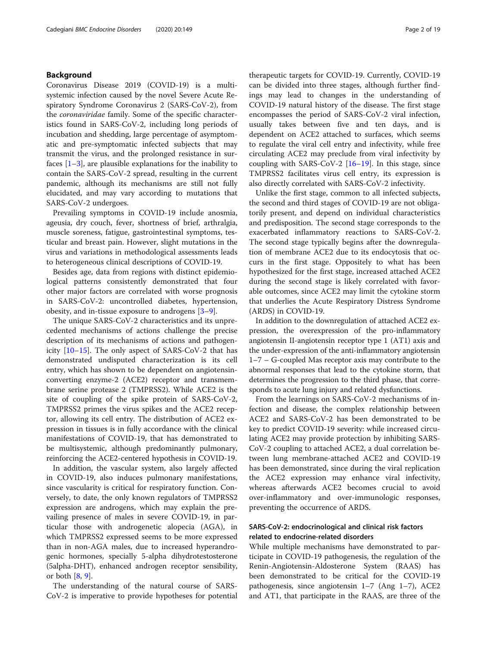## Background

Coronavirus Disease 2019 (COVID-19) is a multisystemic infection caused by the novel Severe Acute Respiratory Syndrome Coronavirus 2 (SARS-CoV-2), from the coronaviridae family. Some of the specific characteristics found in SARS-CoV-2, including long periods of incubation and shedding, large percentage of asymptomatic and pre-symptomatic infected subjects that may transmit the virus, and the prolonged resistance in surfaces  $[1-3]$  $[1-3]$  $[1-3]$  $[1-3]$ , are plausible explanations for the inability to contain the SARS-CoV-2 spread, resulting in the current pandemic, although its mechanisms are still not fully elucidated, and may vary according to mutations that SARS-CoV-2 undergoes.

Prevailing symptoms in COVID-19 include anosmia, ageusia, dry couch, fever, shortness of brief, arthralgia, muscle soreness, fatigue, gastrointestinal symptoms, testicular and breast pain. However, slight mutations in the virus and variations in methodological assessments leads to heterogeneous clinical descriptions of COVID-19.

Besides age, data from regions with distinct epidemiological patterns consistently demonstrated that four other major factors are correlated with worse prognosis in SARS-CoV-2: uncontrolled diabetes, hypertension, obesity, and in-tissue exposure to androgens [[3](#page-10-0)–[9\]](#page-10-0).

The unique SARS-CoV-2 characteristics and its unprecedented mechanisms of actions challenge the precise description of its mechanisms of actions and pathogenicity [[10](#page-10-0)–[15\]](#page-10-0). The only aspect of SARS-CoV-2 that has demonstrated undisputed characterization is its cell entry, which has shown to be dependent on angiotensinconverting enzyme-2 (ACE2) receptor and transmembrane serine protease 2 (TMPRSS2). While ACE2 is the site of coupling of the spike protein of SARS-CoV-2, TMPRSS2 primes the virus spikes and the ACE2 receptor, allowing its cell entry. The distribution of ACE2 expression in tissues is in fully accordance with the clinical manifestations of COVID-19, that has demonstrated to be multisystemic, although predominantly pulmonary, reinforcing the ACE2-centered hypothesis in COVID-19.

In addition, the vascular system, also largely affected in COVID-19, also induces pulmonary manifestations, since vascularity is critical for respiratory function. Conversely, to date, the only known regulators of TMPRSS2 expression are androgens, which may explain the prevailing presence of males in severe COVID-19, in particular those with androgenetic alopecia (AGA), in which TMPRSS2 expressed seems to be more expressed than in non-AGA males, due to increased hyperandrogenic hormones, specially 5-alpha dihydrotestosterone (5alpha-DHT), enhanced androgen receptor sensibility, or both [\[8](#page-10-0), [9](#page-10-0)].

The understanding of the natural course of SARS-CoV-2 is imperative to provide hypotheses for potential

therapeutic targets for COVID-19. Currently, COVID-19 can be divided into three stages, although further findings may lead to changes in the understanding of COVID-19 natural history of the disease. The first stage encompasses the period of SARS-CoV-2 viral infection, usually takes between five and ten days, and is dependent on ACE2 attached to surfaces, which seems to regulate the viral cell entry and infectivity, while free circulating ACE2 may preclude from viral infectivity by coupling with SARS-CoV-2 [[16](#page-10-0)–[19\]](#page-10-0). In this stage, since TMPRSS2 facilitates virus cell entry, its expression is also directly correlated with SARS-CoV-2 infectivity.

Unlike the first stage, common to all infected subjects, the second and third stages of COVID-19 are not obligatorily present, and depend on individual characteristics and predisposition. The second stage corresponds to the exacerbated inflammatory reactions to SARS-CoV-2. The second stage typically begins after the downregulation of membrane ACE2 due to its endocytosis that occurs in the first stage. Oppositely to what has been hypothesized for the first stage, increased attached ACE2 during the second stage is likely correlated with favorable outcomes, since ACE2 may limit the cytokine storm that underlies the Acute Respiratory Distress Syndrome (ARDS) in COVID-19.

In addition to the downregulation of attached ACE2 expression, the overexpression of the pro-inflammatory angiotensin II-angiotensin receptor type 1 (AT1) axis and the under-expression of the anti-inflammatory angiotensin 1–7 – G-coupled Mas receptor axis may contribute to the abnormal responses that lead to the cytokine storm, that determines the progression to the third phase, that corresponds to acute lung injury and related dysfunctions.

From the learnings on SARS-CoV-2 mechanisms of infection and disease, the complex relationship between ACE2 and SARS-CoV-2 has been demonstrated to be key to predict COVID-19 severity: while increased circulating ACE2 may provide protection by inhibiting SARS-CoV-2 coupling to attached ACE2, a dual correlation between lung membrane-attached ACE2 and COVID-19 has been demonstrated, since during the viral replication the ACE2 expression may enhance viral infectivity, whereas afterwards ACE2 becomes crucial to avoid over-inflammatory and over-immunologic responses, preventing the occurrence of ARDS.

## SARS-CoV-2: endocrinological and clinical risk factors related to endocrine-related disorders

While multiple mechanisms have demonstrated to participate in COVID-19 pathogenesis, the regulation of the Renin-Angiotensin-Aldosterone System (RAAS) has been demonstrated to be critical for the COVID-19 pathogenesis, since angiotensin 1–7 (Ang 1–7), ACE2 and AT1, that participate in the RAAS, are three of the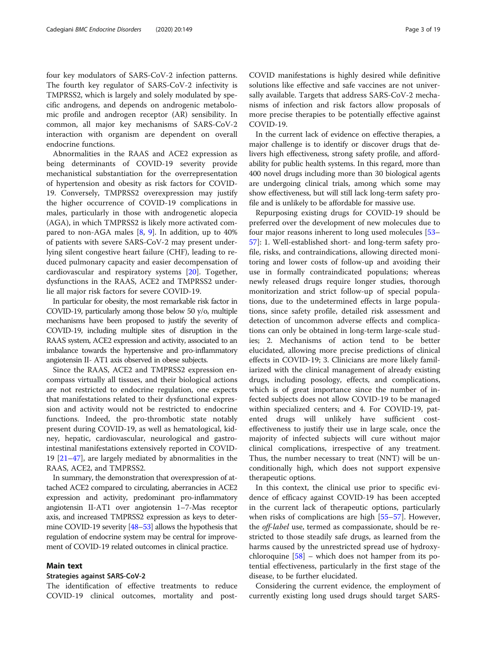four key modulators of SARS-CoV-2 infection patterns. The fourth key regulator of SARS-CoV-2 infectivity is TMPRSS2, which is largely and solely modulated by specific androgens, and depends on androgenic metabolomic profile and androgen receptor (AR) sensibility. In common, all major key mechanisms of SARS-CoV-2 interaction with organism are dependent on overall endocrine functions.

Abnormalities in the RAAS and ACE2 expression as being determinants of COVID-19 severity provide mechanistical substantiation for the overrepresentation of hypertension and obesity as risk factors for COVID-19. Conversely, TMPRSS2 overexpression may justify the higher occurrence of COVID-19 complications in males, particularly in those with androgenetic alopecia (AGA), in which TMPRSS2 is likely more activated compared to non-AGA males  $[8, 9]$  $[8, 9]$  $[8, 9]$  $[8, 9]$ . In addition, up to  $40\%$ of patients with severe SARS-CoV-2 may present underlying silent congestive heart failure (CHF), leading to reduced pulmonary capacity and easier decompensation of cardiovascular and respiratory systems [[20](#page-10-0)]. Together, dysfunctions in the RAAS, ACE2 and TMPRSS2 underlie all major risk factors for severe COVID-19.

In particular for obesity, the most remarkable risk factor in COVID-19, particularly among those below 50 y/o, multiple mechanisms have been proposed to justify the severity of COVID-19, including multiple sites of disruption in the RAAS system, ACE2 expression and activity, associated to an imbalance towards the hypertensive and pro-inflammatory angiotensin II- AT1 axis observed in obese subjects.

Since the RAAS, ACE2 and TMPRSS2 expression encompass virtually all tissues, and their biological actions are not restricted to endocrine regulation, one expects that manifestations related to their dysfunctional expression and activity would not be restricted to endocrine functions. Indeed, the pro-thrombotic state notably present during COVID-19, as well as hematological, kidney, hepatic, cardiovascular, neurological and gastrointestinal manifestations extensively reported in COVID-19 [\[21](#page-10-0)–[47\]](#page-11-0), are largely mediated by abnormalities in the RAAS, ACE2, and TMPRSS2.

In summary, the demonstration that overexpression of attached ACE2 compared to circulating, aberrancies in ACE2 expression and activity, predominant pro-inflammatory angiotensin II-AT1 over angiotensin 1–7-Mas receptor axis, and increased TMPRSS2 expression as keys to determine COVID-19 severity [[48](#page-11-0)–[53](#page-11-0)] allows the hypothesis that regulation of endocrine system may be central for improvement of COVID-19 related outcomes in clinical practice.

#### Main text

#### Strategies against SARS-CoV-2

The identification of effective treatments to reduce COVID-19 clinical outcomes, mortality and post-

COVID manifestations is highly desired while definitive solutions like effective and safe vaccines are not universally available. Targets that address SARS-CoV-2 mechanisms of infection and risk factors allow proposals of more precise therapies to be potentially effective against COVID-19.

In the current lack of evidence on effective therapies, a major challenge is to identify or discover drugs that delivers high effectiveness, strong safety profile, and affordability for public health systems. In this regard, more than 400 novel drugs including more than 30 biological agents are undergoing clinical trials, among which some may show effectiveness, but will still lack long-term safety profile and is unlikely to be affordable for massive use.

Repurposing existing drugs for COVID-19 should be preferred over the development of new molecules due to four major reasons inherent to long used molecules [[53](#page-11-0)– [57\]](#page-11-0): 1. Well-established short- and long-term safety profile, risks, and contraindications, allowing directed monitoring and lower costs of follow-up and avoiding their use in formally contraindicated populations; whereas newly released drugs require longer studies, thorough monitorization and strict follow-up of special populations, due to the undetermined effects in large populations, since safety profile, detailed risk assessment and detection of uncommon adverse effects and complications can only be obtained in long-term large-scale studies; 2. Mechanisms of action tend to be better elucidated, allowing more precise predictions of clinical effects in COVID-19; 3. Clinicians are more likely familiarized with the clinical management of already existing drugs, including posology, effects, and complications, which is of great importance since the number of infected subjects does not allow COVID-19 to be managed within specialized centers; and 4. For COVID-19, patented drugs will unlikely have sufficient costeffectiveness to justify their use in large scale, once the majority of infected subjects will cure without major clinical complications, irrespective of any treatment. Thus, the number necessary to treat (NNT) will be unconditionally high, which does not support expensive therapeutic options.

In this context, the clinical use prior to specific evidence of efficacy against COVID-19 has been accepted in the current lack of therapeutic options, particularly when risks of complications are high [\[55](#page-11-0)–[57](#page-11-0)]. However, the off-label use, termed as compassionate, should be restricted to those steadily safe drugs, as learned from the harms caused by the unrestricted spread use of hydroxychloroquine  $[58]$  $[58]$  $[58]$  – which does not hamper from its potential effectiveness, particularly in the first stage of the disease, to be further elucidated.

Considering the current evidence, the employment of currently existing long used drugs should target SARS-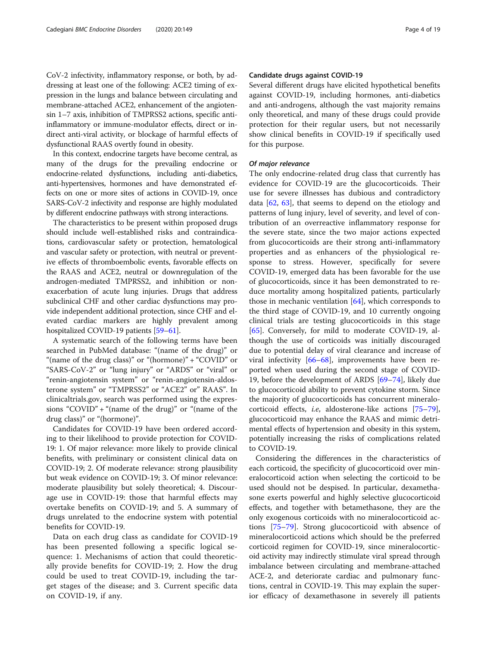CoV-2 infectivity, inflammatory response, or both, by addressing at least one of the following: ACE2 timing of expression in the lungs and balance between circulating and membrane-attached ACE2, enhancement of the angiotensin 1–7 axis, inhibition of TMPRSS2 actions, specific antiinflammatory or immune-modulator effects, direct or indirect anti-viral activity, or blockage of harmful effects of dysfunctional RAAS overtly found in obesity.

In this context, endocrine targets have become central, as many of the drugs for the prevailing endocrine or endocrine-related dysfunctions, including anti-diabetics, anti-hypertensives, hormones and have demonstrated effects on one or more sites of actions in COVID-19, once SARS-CoV-2 infectivity and response are highly modulated by different endocrine pathways with strong interactions.

The characteristics to be present within proposed drugs should include well-established risks and contraindications, cardiovascular safety or protection, hematological and vascular safety or protection, with neutral or preventive effects of thromboembolic events, favorable effects on the RAAS and ACE2, neutral or downregulation of the androgen-mediated TMPRSS2, and inhibition or nonexacerbation of acute lung injuries. Drugs that address subclinical CHF and other cardiac dysfunctions may provide independent additional protection, since CHF and elevated cardiac markers are highly prevalent among hospitalized COVID-19 patients [[59](#page-11-0)–[61\]](#page-11-0).

A systematic search of the following terms have been searched in PubMed database: "(name of the drug)" or "(name of the drug class)" or "(hormone)" + "COVID" or "SARS-CoV-2" or "lung injury" or "ARDS" or "viral" or "renin-angiotensin system" or "renin-angiotensin-aldosterone system" or "TMPRSS2" or "ACE2" or" RAAS". In clinicaltrials.gov, search was performed using the expressions "COVID" + "(name of the drug)" or "(name of the drug class)" or "(hormone)".

Candidates for COVID-19 have been ordered according to their likelihood to provide protection for COVID-19: 1. Of major relevance: more likely to provide clinical benefits, with preliminary or consistent clinical data on COVID-19; 2. Of moderate relevance: strong plausibility but weak evidence on COVID-19; 3. Of minor relevance: moderate plausibility but solely theoretical; 4. Discourage use in COVID-19: those that harmful effects may overtake benefits on COVID-19; and 5. A summary of drugs unrelated to the endocrine system with potential benefits for COVID-19.

Data on each drug class as candidate for COVID-19 has been presented following a specific logical sequence: 1. Mechanisms of action that could theoretically provide benefits for COVID-19; 2. How the drug could be used to treat COVID-19, including the target stages of the disease; and 3. Current specific data on COVID-19, if any.

#### Candidate drugs against COVID-19

Several different drugs have elicited hypothetical benefits against COVID-19, including hormones, anti-diabetics and anti-androgens, although the vast majority remains only theoretical, and many of these drugs could provide protection for their regular users, but not necessarily show clinical benefits in COVID-19 if specifically used for this purpose.

#### Of major relevance

The only endocrine-related drug class that currently has evidence for COVID-19 are the glucocorticoids. Their use for severe illnesses has dubious and contradictory data  $[62, 63]$  $[62, 63]$  $[62, 63]$  $[62, 63]$  $[62, 63]$ , that seems to depend on the etiology and patterns of lung injury, level of severity, and level of contribution of an overreactive inflammatory response for the severe state, since the two major actions expected from glucocorticoids are their strong anti-inflammatory properties and as enhancers of the physiological response to stress. However, specifically for severe COVID-19, emerged data has been favorable for the use of glucocorticoids, since it has been demonstrated to reduce mortality among hospitalized patients, particularly those in mechanic ventilation [[64\]](#page-11-0), which corresponds to the third stage of COVID-19, and 10 currently ongoing clinical trials are testing glucocorticoids in this stage [[65\]](#page-11-0). Conversely, for mild to moderate COVID-19, although the use of corticoids was initially discouraged due to potential delay of viral clearance and increase of viral infectivity [[66](#page-11-0)–[68](#page-11-0)], improvements have been reported when used during the second stage of COVID-19, before the development of ARDS [[69](#page-11-0)–[74](#page-11-0)], likely due to glucocorticoid ability to prevent cytokine storm. Since the majority of glucocorticoids has concurrent mineralocorticoid effects, i.e, aldosterone-like actions [[75](#page-11-0)–[79](#page-11-0)], glucocorticoid may enhance the RAAS and mimic detrimental effects of hypertension and obesity in this system, potentially increasing the risks of complications related to COVID-19.

Considering the differences in the characteristics of each corticoid, the specificity of glucocorticoid over mineralocorticoid action when selecting the corticoid to be used should not be despised. In particular, dexamethasone exerts powerful and highly selective glucocorticoid effects, and together with betamethasone, they are the only exogenous corticoids with no mineralocorticoid actions [\[75](#page-11-0)–[79\]](#page-11-0). Strong glucocorticoid with absence of mineralocorticoid actions which should be the preferred corticoid regimen for COVID-19, since mineralocorticoid activity may indirectly stimulate viral spread through imbalance between circulating and membrane-attached ACE-2, and deteriorate cardiac and pulmonary functions, central in COVID-19. This may explain the superior efficacy of dexamethasone in severely ill patients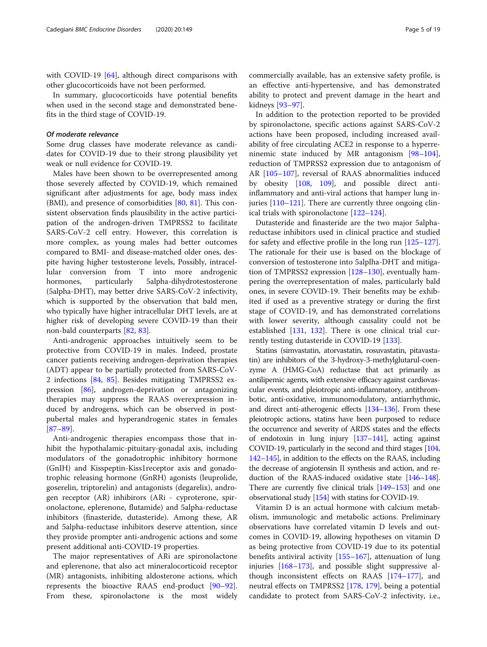with COVID-19 [[64](#page-11-0)], although direct comparisons with other glucocorticoids have not been performed.

In summary, glucocorticoids have potential benefits when used in the second stage and demonstrated benefits in the third stage of COVID-19.

#### Of moderate relevance

Some drug classes have moderate relevance as candidates for COVID-19 due to their strong plausibility yet weak or null evidence for COVID-19.

Males have been shown to be overrepresented among those severely affected by COVID-19, which remained significant after adjustments for age, body mass index (BMI), and presence of comorbidities [\[80,](#page-11-0) [81](#page-11-0)]. This consistent observation finds plausibility in the active participation of the androgen-driven TMPRSS2 to facilitate SARS-CoV-2 cell entry. However, this correlation is more complex, as young males had better outcomes compared to BMI- and disease-matched older ones, despite having higher testosterone levels, Possibly, intracellular conversion from T into more androgenic hormones, particularly 5alpha-dihydrotestosterone (5alpha-DHT), may better drive SARS-CoV-2 infectivity, which is supported by the observation that bald men, who typically have higher intracellular DHT levels, are at higher risk of developing severe COVID-19 than their non-bald counterparts [\[82](#page-11-0), [83](#page-12-0)].

Anti-androgenic approaches intuitively seem to be protective from COVID-19 in males. Indeed, prostate cancer patients receiving androgen-deprivation therapies (ADT) appear to be partially protected from SARS-CoV-2 infections [[84,](#page-12-0) [85](#page-12-0)]. Besides mitigating TMPRSS2 expression [[86\]](#page-12-0), androgen-deprivation or antagonizing therapies may suppress the RAAS overexpression induced by androgens, which can be observed in postpubertal males and hyperandrogenic states in females [[87](#page-12-0)–[89](#page-12-0)].

Anti-androgenic therapies encompass those that inhibit the hypothalamic-pituitary-gonadal axis, including modulators of the gonadotrophic inhibitory hormone (GnIH) and Kisspeptin-Kiss1receptor axis and gonadotrophic releasing hormone (GnRH) agonists (leuprolide, goserelin, triptorelin) and antagonists (degarelix), androgen receptor (AR) inhibirors (ARi - cyproterone, spironolactone, eplerenone, flutamide) and 5alpha-reductase inhibitors (finasteride, dutasteride). Among these, AR and 5alpha-reductase inhibitors deserve attention, since they provide prompter anti-androgenic actions and some present additional anti-COVID-19 properties.

The major representatives of ARi are spironolactone and eplerenone, that also act mineralocorticoid receptor (MR) antagonists, inhibiting aldosterone actions, which represents the bioactive RAAS end-product [[90](#page-12-0)–[92](#page-12-0)]. From these, spironolactone is the most widely

commercially available, has an extensive safety profile, is an effective anti-hypertensive, and has demonstrated ability to protect and prevent damage in the heart and kidneys [[93](#page-12-0)–[97](#page-12-0)].

In addition to the protection reported to be provided by spironolactone, specific actions against SARS-CoV-2 actions have been proposed, including increased availability of free circulating ACE2 in response to a hyperreninemic state induced by MR antagonism [[98](#page-12-0)–[104](#page-12-0)], reduction of TMPRSS2 expression due to antagonism of AR [[105](#page-12-0)–[107](#page-12-0)], reversal of RAAS abnormalities induced by obesity [[108](#page-12-0), [109\]](#page-12-0), and possible direct antiinflammatory and anti-viral actions that hamper lung injuries [\[110](#page-12-0)–[121\]](#page-12-0). There are currently three ongoing clinical trials with spironolactone [[122](#page-12-0)–[124](#page-12-0)].

Dutasteride and finasteride are the two major 5alphareductase inhibitors used in clinical practice and studied for safety and effective profile in the long run [[125](#page-12-0)–[127](#page-12-0)]. The rationale for their use is based on the blockage of conversion of testosterone into 5alplha-DHT and mitigation of TMPRSS2 expression [\[128](#page-13-0)–[130\]](#page-13-0), eventually hampering the overrepresentation of males, particularly bald ones, in severe COVID-19. Their benefits may be exhibited if used as a preventive strategy or during the first stage of COVID-19, and has demonstrated correlations with lower severity, although causality could not be established [[131](#page-13-0), [132\]](#page-13-0). There is one clinical trial currently testing dutasteride in COVID-19 [[133](#page-13-0)].

Statins (simvastatin, atorvastatin, rosuvastatin, pitavastatin) are inhibitors of the 3-hydroxy-3-methylglutarul-coenzyme A (HMG-CoA) reductase that act primarily as antilipemic agents, with extensive efficacy against cardiovascular events, and pleiotropic anti-inflammatory, antithrombotic, anti-oxidative, immunomodulatory, antiarrhythmic, and direct anti-atherogenic effects [[134](#page-13-0)–[136\]](#page-13-0). From these pleiotropic actions, statins have been purposed to reduce the occurrence and severity of ARDS states and the effects of endotoxin in lung injury [[137](#page-13-0)–[141\]](#page-13-0), acting against COVID-19, particularly in the second and third stages [\[104](#page-12-0), [142](#page-13-0)–[145\]](#page-13-0), in addition to the effects on the RAAS, including the decrease of angiotensin II synthesis and action, and reduction of the RAAS-induced oxidative state [\[146](#page-13-0)–[148](#page-13-0)]. There are currently five clinical trials [\[149](#page-13-0)–[153\]](#page-13-0) and one observational study [[154\]](#page-13-0) with statins for COVID-19.

Vitamin D is an actual hormone with calcium metabolism, immunologic and metabolic actions. Preliminary observations have correlated vitamin D levels and outcomes in COVID-19, allowing hypotheses on vitamin D as being protective from COVID-19 due to its potential benefits antiviral activity [[155](#page-13-0)–[167](#page-13-0)], attenuation of lung injuries [[168](#page-13-0)–[173\]](#page-13-0), and possible slight suppressive although inconsistent effects on RAAS [[174](#page-13-0)–[177](#page-13-0)], and neutral effects on TMPRSS2 [\[178,](#page-13-0) [179\]](#page-14-0), being a potential candidate to protect from SARS-CoV-2 infectivity, i.e.,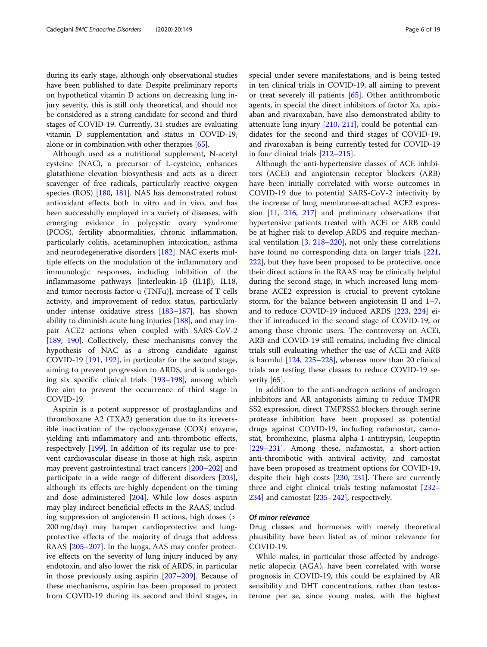during its early stage, although only observational studies have been published to date. Despite preliminary reports on hypothetical vitamin D actions on decreasing lung injury severity, this is still only theoretical, and should not be considered as a strong candidate for second and third stages of COVID-19. Currently, 31 studies are evaluating vitamin D supplementation and status in COVID-19, alone or in combination with other therapies [\[65](#page-11-0)].

Although used as a nutritional supplement, N-acetyl cysteine (NAC), a precursor of L-cysteine, enhances glutathione elevation biosynthesis and acts as a direct scavenger of free radicals, particularly reactive oxygen species (ROS) [[180](#page-14-0), [181\]](#page-14-0). NAS has demonstrated robust antioxidant effects both in vitro and in vivo, and has been successfully employed in a variety of diseases, with emerging evidence in polycystic ovary syndrome (PCOS), fertility abnormalities, chronic inflammation, particularly colitis, acetaminophen intoxication, asthma and neurodegenerative disorders [[182](#page-14-0)]. NAC exerts multiple effects on the modulation of the inflammatory and immunologic responses, including inhibition of the inflammasome pathways [interleukin-1β (IL1β), IL18, and tumor necrosis factor-ɑ (TNFɑ)], increase of T cells activity, and improvement of redox status, particularly under intense oxidative stress [\[183](#page-14-0)–[187\]](#page-14-0), has shown ability to diminish acute lung injuries [[188](#page-14-0)], and may impair ACE2 actions when coupled with SARS-CoV-2 [[189,](#page-14-0) [190\]](#page-14-0). Collectively, these mechanisms convey the hypothesis of NAC as a strong candidate against COVID-19 [[191,](#page-14-0) [192\]](#page-14-0), in particular for the second stage, aiming to prevent progression to ARDS, and is undergoing six specific clinical trials [[193](#page-14-0)–[198](#page-14-0)], among which five aim to prevent the occurrence of third stage in COVID-19.

Aspirin is a potent suppressor of prostaglandins and thromboxane A2 (TXA2) generation due to its irreversible inactivation of the cyclooxygenase (COX) enzyme, yielding anti-inflammatory and anti-thrombotic effects, respectively [\[199](#page-14-0)]. In addition of its regular use to prevent cardiovascular disease in those at high risk, aspirin may prevent gastrointestinal tract cancers [\[200](#page-14-0)–[202](#page-14-0)] and participate in a wide range of different disorders [\[203](#page-14-0)], although its effects are highly dependent on the timing and dose administered [\[204](#page-14-0)]. While low doses aspirin may play indirect beneficial effects in the RAAS, including suppression of angiotensin II actions, high doses (> 200 mg/day) may hamper cardioprotective and lungprotective effects of the majority of drugs that address RAAS [[205](#page-14-0)–[207](#page-14-0)]. In the lungs, AAS may confer protective effects on the severity of lung injury induced by any endotoxin, and also lower the risk of ARDS, in particular in those previously using aspirin [\[207](#page-14-0)–[209](#page-14-0)]. Because of these mechanisms, aspirin has been proposed to protect from COVID-19 during its second and third stages, in special under severe manifestations, and is being tested in ten clinical trials in COVID-19, all aiming to prevent or treat severely ill patients [\[65\]](#page-11-0). Other antithrombotic agents, in special the direct inhibitors of factor Xa, apixaban and rivaroxaban, have also demonstrated ability to attenuate lung injury [\[210,](#page-14-0) [211](#page-14-0)], could be potential candidates for the second and third stages of COVID-19, and rivaroxaban is being currently tested for COVID-19 in four clinical trials [[212](#page-14-0)–[215\]](#page-14-0).

Although the anti-hypertensive classes of ACE inhibitors (ACEi) and angiotensin receptor blockers (ARB) have been initially correlated with worse outcomes in COVID-19 due to potential SARS-CoV-2 infectivity by the increase of lung membranse-attached ACE2 expression [\[11,](#page-10-0) [216](#page-14-0), [217\]](#page-14-0) and preliminary observations that hypertensive patients treated with ACEi or ARB could be at higher risk to develop ARDS and require mechanical ventilation [\[3](#page-10-0), [218](#page-14-0)–[220](#page-14-0)], not only these correlations have found no corresponding data on larger trials [[221](#page-14-0), [222](#page-14-0)], but they have been proposed to be protective, once their direct actions in the RAAS may be clinically helpful during the second stage, in which increased lung membrane ACE2 expression is crucial to prevent cytokine storm, for the balance between angiotensin II and 1–7, and to reduce COVID-19 induced ARDS [\[223,](#page-14-0) [224\]](#page-14-0) either if introduced in the second stage of COVID-19, or among those chronic users. The controversy on ACEi, ARB and COVID-19 still remains, including five clinical trials still evaluating whether the use of ACEi and ARB is harmful [\[124](#page-12-0), [225](#page-14-0)–[228\]](#page-15-0), whereas more than 20 clinical trials are testing these classes to reduce COVID-19 se-verity [[65](#page-11-0)].

In addition to the anti-androgen actions of androgen inhibitors and AR antagonists aiming to reduce TMPR SS2 expression, direct TMPRSS2 blockers through serine protease inhibition have been proposed as potential drugs against COVID-19, including nafamostat, camostat, bromhexine, plasma alpha-1-antitrypsin, leupeptin [[229](#page-15-0)–[231](#page-15-0)]. Among these, nafamostat, a short-action anti-thrombotic with antiviral activity, and camostat have been proposed as treatment options for COVID-19, despite their high costs [[230,](#page-15-0) [231\]](#page-15-0). There are currently three and eight clinical trials testing nafamostat [[232](#page-15-0)– [234](#page-15-0)] and camostat [\[235](#page-15-0)–[242\]](#page-15-0), respectively.

#### Of minor relevance

Drug classes and hormones with merely theoretical plausibility have been listed as of minor relevance for COVID-19.

While males, in particular those affected by androgenetic alopecia (AGA), have been correlated with worse prognosis in COVID-19, this could be explained by AR sensibility and DHT concentrations, rather than testosterone per se, since young males, with the highest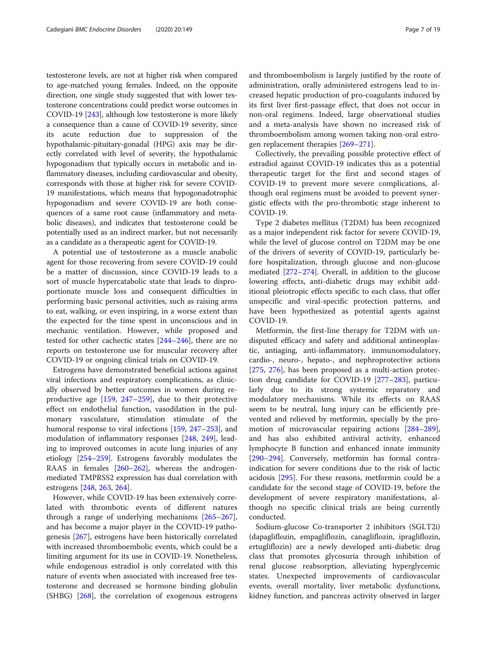testosterone levels, are not at higher risk when compared to age-matched young females. Indeed, on the opposite direction, one single study suggested that with lower testosterone concentrations could predict worse outcomes in COVID-19 [\[243](#page-15-0)], although low testosterone is more likely a consequence than a cause of COVID-19 severity, since its acute reduction due to suppression of the hypothalamic-pituitary-gonadal (HPG) axis may be directly correlated with level of severity, the hypothalamic hypogonadism that typically occurs in metabolic and inflammatory diseases, including cardiovascular and obesity, corresponds with those at higher risk for severe COVID-19 manifestations, which means that hypogonadotrophic hypogonadism and severe COVID-19 are both consequences of a same root cause (inflammatory and metabolic diseases), and indicates that testosterone could be potentially used as an indirect marker, but not necessarily as a candidate as a therapeutic agent for COVID-19.

A potential use of testosterone as a muscle anabolic agent for those recovering from severe COVID-19 could be a matter of discussion, since COVID-19 leads to a sort of muscle hypercatabolic state that leads to disproportionate muscle loss and consequent difficulties in performing basic personal activities, such as raising arms to eat, walking, or even inspiring, in a worse extent than the expected for the time spent in unconscious and in mechanic ventilation. However, while proposed and tested for other cachectic states [\[244](#page-15-0)–[246\]](#page-15-0), there are no reports on testosterone use for muscular recovery after COVID-19 or ongoing clinical trials on COVID-19.

Estrogens have demonstrated beneficial actions against viral infections and respiratory complications, as clinically observed by better outcomes in women during reproductive age [\[159](#page-13-0), [247](#page-15-0)–[259](#page-15-0)], due to their protective effect on endothelial function, vasodilation in the pulmonary vasculature, stimulation stimulate of the humoral response to viral infections [[159](#page-13-0), [247](#page-15-0)–[253](#page-15-0)], and modulation of inflammatory responses [\[248](#page-15-0), [249](#page-15-0)], leading to improved outcomes in acute lung injuries of any etiology [\[254](#page-15-0)–[259\]](#page-15-0). Estrogens favorably modulates the RAAS in females [[260](#page-15-0)–[262](#page-15-0)], whereas the androgenmediated TMPRSS2 expression has dual correlation with estrogens [\[248,](#page-15-0) [263,](#page-15-0) [264\]](#page-15-0).

However, while COVID-19 has been extensively correlated with thrombotic events of different natures through a range of underlying mechanisms [[265](#page-15-0)–[267](#page-15-0)], and has become a major player in the COVID-19 pathogenesis [\[267\]](#page-15-0), estrogens have been historically correlated with increased thromboembolic events, which could be a limiting argument for its use in COVID-19. Nonetheless, while endogenous estradiol is only correlated with this nature of events when associated with increased free testosterone and decreased se hormone binding globulin (SHBG) [\[268\]](#page-15-0), the correlation of exogenous estrogens and thromboembolism is largely justified by the route of administration, orally administered estrogens lead to increased hepatic production of pro-coagulants induced by its first liver first-passage effect, that does not occur in non-oral regimens. Indeed, large observational studies and a meta-analysis have shown no increased risk of thromboembolism among women taking non-oral estrogen replacement therapies [\[269](#page-15-0)–[271\]](#page-15-0).

Collectively, the prevailing possible protective effect of estradiol against COVID-19 indicates this as a potential therapeutic target for the first and second stages of COVID-19 to prevent more severe complications, although oral regimens must be avoided to prevent synergistic effects with the pro-thrombotic stage inherent to COVID-19.

Type 2 diabetes mellitus (T2DM) has been recognized as a major independent risk factor for severe COVID-19, while the level of glucose control on T2DM may be one of the drivers of severity of COVID-19, particularly before hospitalization, through glucose and non-glucose mediated [\[272](#page-15-0)–[274\]](#page-15-0). Overall, in addition to the glucose lowering effects, anti-diabetic drugs may exhibit additional pleiotropic effects specific to each class, that offer unspecific and viral-specific protection patterns, and have been hypothesized as potential agents against COVID-19.

Metformin, the first-line therapy for T2DM with undisputed efficacy and safety and additional antineoplastic, antiaging, anti-inflammatory, immunomodulatory, cardio-, neuro-, hepato-, and nephroprotective actions [[275,](#page-15-0) [276](#page-15-0)], has been proposed as a multi-action protection drug candidate for COVID-19 [\[277](#page-15-0)–[283](#page-16-0)], particularly due to its strong systemic reparatory and modulatory mechanisms. While its effects on RAAS seem to be neutral, lung injury can be efficiently prevented and relieved by metformin, specially by the promotion of microvascular repairing actions [[284](#page-16-0)–[289](#page-16-0)], and has also exhibited antiviral activity, enhanced lymphocyte B function and enhanced innate immunity [[290](#page-16-0)–[294](#page-16-0)]. Conversely, metformin has formal contraindication for severe conditions due to the risk of lactic acidosis [[295](#page-16-0)]. For these reasons, metformin could be a candidate for the second stage of COVID-19, before the development of severe respiratory manifestations, although no specific clinical trials are being currently conducted.

Sodium-glucose Co-transporter 2 inhibitors (SGLT2i) (dapagliflozin, empagliflozin, canagliflozin, ipragliflozin, ertugliflozin) are a newly developed anti-diabetic drug class that promotes glycosuria through inhibition of renal glucose reabsorption, alleviating hyperglycemic states. Unexpected improvements of cardiovascular events, overall mortality, liver metabolic dysfunctions, kidney function, and pancreas activity observed in larger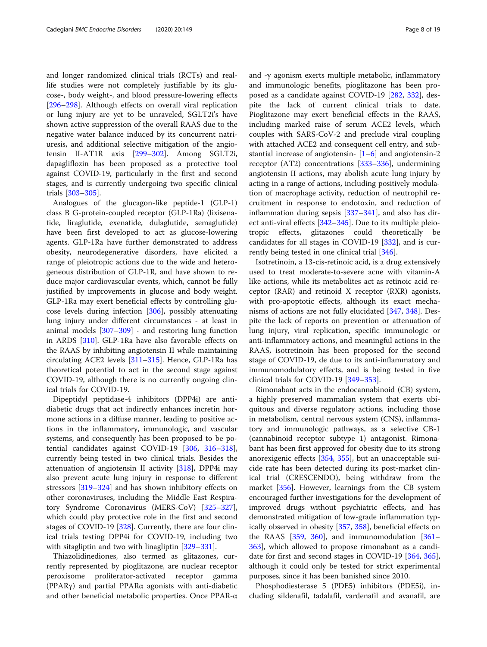and longer randomized clinical trials (RCTs) and reallife studies were not completely justifiable by its glucose-, body weight-, and blood pressure-lowering effects [[296](#page-16-0)–[298](#page-16-0)]. Although effects on overall viral replication or lung injury are yet to be unraveled, SGLT2i's have shown active suppression of the overall RAAS due to the negative water balance induced by its concurrent natriuresis, and additional selective mitigation of the angiotensin II-AT1R axis [\[299](#page-16-0)–[302\]](#page-16-0). Among SGLT2i, dapagliflozin has been proposed as a protective tool against COVID-19, particularly in the first and second stages, and is currently undergoing two specific clinical trials [[303](#page-16-0)–[305](#page-16-0)].

Analogues of the glucagon-like peptide-1 (GLP-1) class B G-protein-coupled receptor (GLP-1Ra) (lixisenatide, liraglutide, exenatide, dulaglutide, semaglutide) have been first developed to act as glucose-lowering agents. GLP-1Ra have further demonstrated to address obesity, neurodegenerative disorders, have elicited a range of pleiotropic actions due to the wide and heterogeneous distribution of GLP-1R, and have shown to reduce major cardiovascular events, which, cannot be fully justified by improvements in glucose and body weight. GLP-1Ra may exert beneficial effects by controlling glucose levels during infection [\[306\]](#page-16-0), possibly attenuating lung injury under different circumstances - at least in animal models [[307](#page-16-0)–[309\]](#page-16-0) - and restoring lung function in ARDS [\[310\]](#page-16-0). GLP-1Ra have also favorable effects on the RAAS by inhibiting angiotensin II while maintaining circulating ACE2 levels [\[311](#page-16-0)–[315](#page-16-0)]. Hence, GLP-1Ra has theoretical potential to act in the second stage against COVID-19, although there is no currently ongoing clinical trials for COVID-19.

Dipeptidyl peptidase-4 inhibitors (DPP4i) are antidiabetic drugs that act indirectly enhances incretin hormone actions in a diffuse manner, leading to positive actions in the inflammatory, immunologic, and vascular systems, and consequently has been proposed to be potential candidates against COVID-19 [[306](#page-16-0), [316](#page-16-0)–[318](#page-16-0)], currently being tested in two clinical trials. Besides the attenuation of angiotensin II activity [\[318\]](#page-16-0), DPP4i may also prevent acute lung injury in response to different stressors [[319](#page-16-0)–[324](#page-16-0)] and has shown inhibitory effects on other coronaviruses, including the Middle East Respiratory Syndrome Coronavirus (MERS-CoV) [[325](#page-17-0)–[327](#page-17-0)], which could play protective role in the first and second stages of COVID-19 [[328](#page-17-0)]. Currently, there are four clinical trials testing DPP4i for COVID-19, including two with sitagliptin and two with linagliptin [[329](#page-17-0)–[331](#page-17-0)].

Thiazolidinediones, also termed as glitazones, currently represented by pioglitazone, are nuclear receptor peroxisome proliferator-activated receptor gamma (PPARγ) and partial PPARα agonists with anti-diabetic and other beneficial metabolic properties. Once PPAR-α and -γ agonism exerts multiple metabolic, inflammatory and immunologic benefits, pioglitazone has been proposed as a candidate against COVID-19 [[282](#page-16-0), [332\]](#page-17-0), despite the lack of current clinical trials to date. Pioglitazone may exert beneficial effects in the RAAS, including marked raise of serum ACE2 levels, which couples with SARS-CoV-2 and preclude viral coupling with attached ACE2 and consequent cell entry, and substantial increase of angiotensin-  $[1-6]$  $[1-6]$  $[1-6]$  $[1-6]$  and angiotensin-2 receptor (AT2) concentrations [[333](#page-17-0)–[336\]](#page-17-0), undermining angiotensin II actions, may abolish acute lung injury by acting in a range of actions, including positively modulation of macrophage activity, reduction of neutrophil recruitment in response to endotoxin, and reduction of inflammation during sepsis [[337](#page-17-0)–[341](#page-17-0)], and also has direct anti-viral effects [\[342](#page-17-0)–[345\]](#page-17-0). Due to its multiple pleiotropic effects, glitazones could theoretically be candidates for all stages in COVID-19 [[332\]](#page-17-0), and is currently being tested in one clinical trial [[346](#page-17-0)].

Isotretinoin, a 13-cis-retinoic acid, is a drug extensively used to treat moderate-to-severe acne with vitamin-A like actions, while its metabolites act as retinoic acid receptor (RAR) and retinoid X receptor (RXR) agonists, with pro-apoptotic effects, although its exact mechanisms of actions are not fully elucidated [\[347](#page-17-0), [348](#page-17-0)]. Despite the lack of reports on prevention or attenuation of lung injury, viral replication, specific immunologic or anti-inflammatory actions, and meaningful actions in the RAAS, isotretinoin has been proposed for the second stage of COVID-19, de due to its anti-inflammatory and immunomodulatory effects, and is being tested in five clinical trials for COVID-19 [\[349](#page-17-0)–[353\]](#page-17-0).

Rimonabant acts in the endocannabinoid (CB) system, a highly preserved mammalian system that exerts ubiquitous and diverse regulatory actions, including those in metabolism, central nervous system (CNS), inflammatory and immunologic pathways, as a selective CB-1 (cannabinoid receptor subtype 1) antagonist. Rimonabant has been first approved for obesity due to its strong anorexigenic effects [[354](#page-17-0), [355\]](#page-17-0), but an unacceptable suicide rate has been detected during its post-market clinical trial (CRESCENDO), being withdraw from the market [\[356](#page-17-0)]. However, learnings from the CB system encouraged further investigations for the development of improved drugs without psychiatric effects, and has demonstrated mitigation of low-grade inflammation typically observed in obesity [\[357,](#page-17-0) [358\]](#page-17-0), beneficial effects on the RAAS  $[359, 360]$  $[359, 360]$  $[359, 360]$  $[359, 360]$ , and immunomodulation  $[361 [361 [361-$ [363](#page-17-0)], which allowed to propose rimonabant as a candidate for first and second stages in COVID-19 [[364](#page-17-0), [365](#page-17-0)], although it could only be tested for strict experimental purposes, since it has been banished since 2010.

Phosphodiesterase 5 (PDE5) inhibitors (PDE5i), including sildenafil, tadalafil, vardenafil and avanafil, are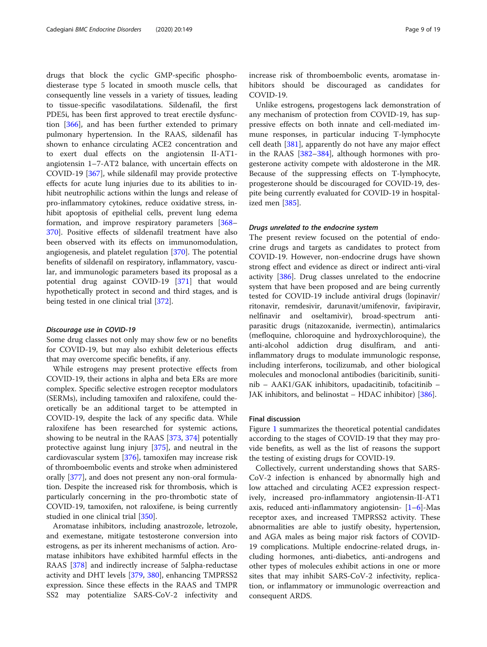drugs that block the cyclic GMP-specific phosphodiesterase type 5 located in smooth muscle cells, that consequently line vessels in a variety of tissues, leading to tissue-specific vasodilatations. Sildenafil, the first PDE5i, has been first approved to treat erectile dysfunction [\[366\]](#page-17-0), and has been further extended to primary pulmonary hypertension. In the RAAS, sildenafil has shown to enhance circulating ACE2 concentration and to exert dual effects on the angiotensin II-AT1 angiotensin 1–7-AT2 balance, with uncertain effects on COVID-19 [[367\]](#page-17-0), while sildenafil may provide protective effects for acute lung injuries due to its abilities to inhibit neutrophilic actions within the lungs and release of pro-inflammatory cytokines, reduce oxidative stress, inhibit apoptosis of epithelial cells, prevent lung edema formation, and improve respiratory parameters [[368](#page-17-0)– [370](#page-17-0)]. Positive effects of sildenafil treatment have also been observed with its effects on immunomodulation, angiogenesis, and platelet regulation [[370\]](#page-17-0). The potential benefits of sildenafil on respiratory, inflammatory, vascular, and immunologic parameters based its proposal as a potential drug against COVID-19 [\[371\]](#page-18-0) that would hypothetically protect in second and third stages, and is being tested in one clinical trial [[372\]](#page-18-0).

#### Discourage use in COVID-19

Some drug classes not only may show few or no benefits for COVID-19, but may also exhibit deleterious effects that may overcome specific benefits, if any.

While estrogens may present protective effects from COVID-19, their actions in alpha and beta ERs are more complex. Specific selective estrogen receptor modulators (SERMs), including tamoxifen and raloxifene, could theoretically be an additional target to be attempted in COVID-19, despite the lack of any specific data. While raloxifene has been researched for systemic actions, showing to be neutral in the RAAS [[373,](#page-18-0) [374](#page-18-0)] potentially protective against lung injury [\[375\]](#page-18-0), and neutral in the cardiovascular system [\[376\]](#page-18-0), tamoxifen may increase risk of thromboembolic events and stroke when administered orally [[377](#page-18-0)], and does not present any non-oral formulation. Despite the increased risk for thrombosis, which is particularly concerning in the pro-thrombotic state of COVID-19, tamoxifen, not raloxifene, is being currently studied in one clinical trial [\[350](#page-17-0)].

Aromatase inhibitors, including anastrozole, letrozole, and exemestane, mitigate testosterone conversion into estrogens, as per its inherent mechanisms of action. Aromatase inhibitors have exhibited harmful effects in the RAAS [[378\]](#page-18-0) and indirectly increase of 5alpha-reductase activity and DHT levels [\[379,](#page-18-0) [380\]](#page-18-0), enhancing TMPRSS2 expression. Since these effects in the RAAS and TMPR SS2 may potentialize SARS-CoV-2 infectivity and increase risk of thromboembolic events, aromatase inhibitors should be discouraged as candidates for COVID-19.

Unlike estrogens, progestogens lack demonstration of any mechanism of protection from COVID-19, has suppressive effects on both innate and cell-mediated immune responses, in particular inducing T-lymphocyte cell death [[381](#page-18-0)], apparently do not have any major effect in the RAAS [\[382](#page-18-0)–[384\]](#page-18-0), although hormones with progesterone activity compete with aldosterone in the MR. Because of the suppressing effects on T-lymphocyte, progesterone should be discouraged for COVID-19, despite being currently evaluated for COVID-19 in hospitalized men [\[385\]](#page-18-0).

#### Drugs unrelated to the endocrine system

The present review focused on the potential of endocrine drugs and targets as candidates to protect from COVID-19. However, non-endocrine drugs have shown strong effect and evidence as direct or indirect anti-viral activity [[386](#page-18-0)]. Drug classes unrelated to the endocrine system that have been proposed and are being currently tested for COVID-19 include antiviral drugs (lopinavir/ ritonavir, remdesivir, darunavit/umifenovir, favipiravir, nelfinavir and oseltamivir), broad-spectrum antiparasitic drugs (nitazoxanide, ivermectin), antimalarics (mefloquine, chloroquine and hydroxychloroquine), the anti-alcohol addiction drug disulfiram, and antiinflammatory drugs to modulate immunologic response, including interferons, tocilizumab, and other biological molecules and monoclonal antibodies (baricitinib, sunitinib – AAK1/GAK inhibitors, upadacitinib, tofacitinib – JAK inhibitors, and belinostat – HDAC inhibitor) [\[386\]](#page-18-0).

### Final discussion

Figure [1](#page-9-0) summarizes the theoretical potential candidates according to the stages of COVID-19 that they may provide benefits, as well as the list of reasons the support the testing of existing drugs for COVID-19.

Collectively, current understanding shows that SARS-CoV-2 infection is enhanced by abnormally high and low attached and circulating ACE2 expression respectively, increased pro-inflammatory angiotensin-II-AT1 axis, reduced anti-inflammatory angiotensin-  $[1-6]$  $[1-6]$  $[1-6]$  $[1-6]$ -Mas receptor axes, and increased TMPRSS2 activity. These abnormalities are able to justify obesity, hypertension, and AGA males as being major risk factors of COVID-19 complications. Multiple endocrine-related drugs, including hormones, anti-diabetics, anti-androgens and other types of molecules exhibit actions in one or more sites that may inhibit SARS-CoV-2 infectivity, replication, or inflammatory or immunologic overreaction and consequent ARDS.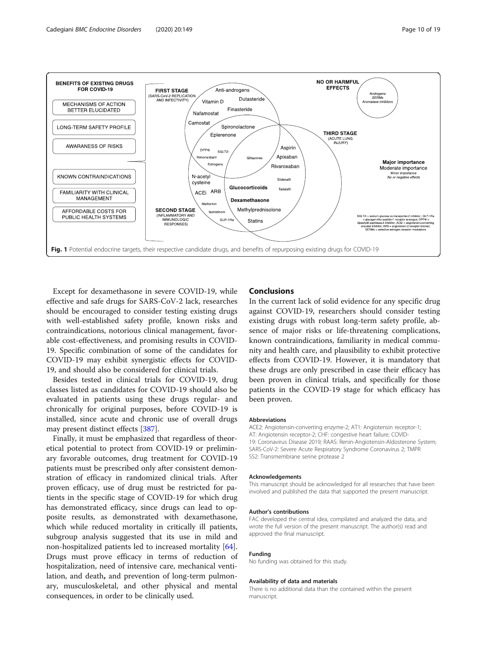<span id="page-9-0"></span>

Except for dexamethasone in severe COVID-19, while effective and safe drugs for SARS-CoV-2 lack, researches should be encouraged to consider testing existing drugs with well-established safety profile, known risks and contraindications, notorious clinical management, favorable cost-effectiveness, and promising results in COVID-19. Specific combination of some of the candidates for COVID-19 may exhibit synergistic effects for COVID-19, and should also be considered for clinical trials.

Besides tested in clinical trials for COVID-19, drug classes listed as candidates for COVID-19 should also be evaluated in patients using these drugs regular- and chronically for original purposes, before COVID-19 is installed, since acute and chronic use of overall drugs may present distinct effects [[387\]](#page-18-0).

Finally, it must be emphasized that regardless of theoretical potential to protect from COVID-19 or preliminary favorable outcomes, drug treatment for COVID-19 patients must be prescribed only after consistent demonstration of efficacy in randomized clinical trials. After proven efficacy, use of drug must be restricted for patients in the specific stage of COVID-19 for which drug has demonstrated efficacy, since drugs can lead to opposite results, as demonstrated with dexamethasone, which while reduced mortality in critically ill patients, subgroup analysis suggested that its use in mild and non-hospitalized patients led to increased mortality [\[64](#page-11-0)]. Drugs must prove efficacy in terms of reduction of hospitalization, need of intensive care, mechanical ventilation, and death, and prevention of long-term pulmonary, musculoskeletal, and other physical and mental consequences, in order to be clinically used.

## **Conclusions**

In the current lack of solid evidence for any specific drug against COVID-19, researchers should consider testing existing drugs with robust long-term safety profile, absence of major risks or life-threatening complications, known contraindications, familiarity in medical community and health care, and plausibility to exhibit protective effects from COVID-19. However, it is mandatory that these drugs are only prescribed in case their efficacy has been proven in clinical trials, and specifically for those patients in the COVID-19 stage for which efficacy has been proven.

#### Abbreviations

ACE2: Angiotensin-converting enzyme-2; AT1: Angiotensin receptor-1; AT: Angiotensin receptor-2; CHF: congestive heart failure; COVID-19: Coronavirus Disease 2019; RAAS: Renin-Angiotensin-Aldosterone System; SARS-CoV-2: Severe Acute Respiratory Syndrome Coronavirus 2; TMPR SS2: Transmembrane serine protease 2

#### Acknowledgements

This manuscript should be acknowledged for all researches that have been involved and published the data that supported the present manuscript.

#### Author's contributions

FAC developed the central idea, compilated and analyzed the data, and wrote the full version of the present manuscript. The author(s) read and approved the final manuscript.

#### Funding

No funding was obtained for this study.

#### Availability of data and materials

There is no additional data than the contained within the present manuscript.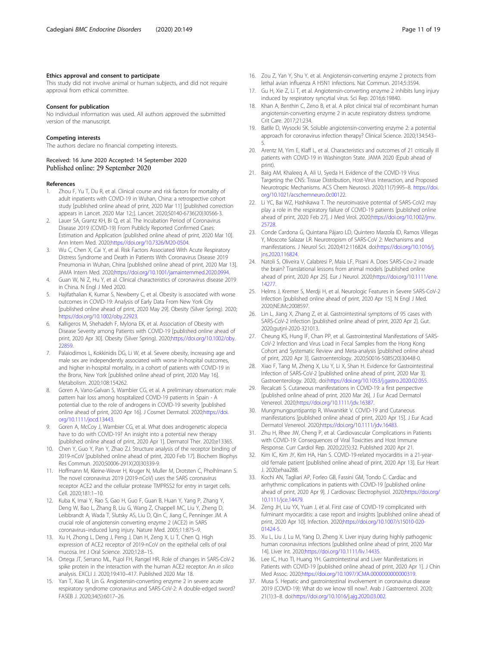#### <span id="page-10-0"></span>Ethics approval and consent to participate

This study did not involve animal or human subjects, and did not require approval from ethical committee.

#### Consent for publication

No individual information was used. All authors approved the submitted version of the manuscript.

#### Competing interests

The authors declare no financial competing interests.

#### Received: 16 June 2020 Accepted: 14 September 2020 Published online: 29 September 2020

#### References

- 1. Zhou F, Yu T, Du R, et al. Clinical course and risk factors for mortality of adult inpatients with COVID-19 in Wuhan, China: a retrospective cohort study [published online ahead of print, 2020 Mar 11] [published correction appears in Lancet. 2020 Mar 12;;]. Lancet. 2020;S0140-6736(20)30566-3.
- Lauer SA, Grantz KH, Bi Q, et al. The Incubation Period of Coronavirus Disease 2019 (COVID-19) From Publicly Reported Confirmed Cases: Estimation and Application [published online ahead of print, 2020 Mar 10]. Ann Intern Med. 2020[;https://doi.org/10.7326/M20-0504.](https://doi.org/10.7326/M20-0504)
- 3. Wu C, Chen X, Cai Y, et al. Risk Factors Associated With Acute Respiratory Distress Syndrome and Death in Patients With Coronavirus Disease 2019 Pneumonia in Wuhan, China [published online ahead of print, 2020 Mar 13]. JAMA Intern Med. 2020;<https://doi.org/10.1001/jamainternmed.2020.0994>.
- 4. Guan W, Ni Z, Hu Y, et al. Clinical characteristics of coronavirus disease 2019 in China. N Engl J Med 2020.
- 5. Hajifathalian K, Kumar S, Newberry C, et al. Obesity is associated with worse outcomes in COVID-19: Analysis of Early Data From New York City [published online ahead of print, 2020 May 29]. Obesity (Silver Spring). 2020; [https://doi.org/10.1002/oby.22923.](https://doi.org/10.1002/oby.22923)
- Kalligeros M, Shehadeh F, Mylona EK, et al. Association of Obesity with Disease Severity among Patients with COVID-19 [published online ahead of print, 2020 Apr 30]. Obesity (Silver Spring). 2020[;https://doi.org/10.1002/oby.](https://doi.org/10.1002/oby.22859) [22859.](https://doi.org/10.1002/oby.22859)
- 7. Palaiodimos L, Kokkinidis DG, Li W, et al. Severe obesity, increasing age and male sex are independently associated with worse in-hospital outcomes, and higher in-hospital mortality, in a cohort of patients with COVID-19 in the Bronx, New York [published online ahead of print, 2020 May 16]. Metabolism. 2020;108:154262.
- 8. Goren A, Vano-Galvan S, Wambier CG, et al. A preliminary observation: male pattern hair loss among hospitalized COVID-19 patients in Spain - A potential clue to the role of androgens in COVID-19 severity [published online ahead of print, 2020 Apr 16]. J Cosmet Dermatol. 2020;[https://doi.](https://doi.org/10.1111/jocd.13443) [org/10.1111/jocd.13443](https://doi.org/10.1111/jocd.13443).
- Goren A, McCoy J, Wambier CG, et al. What does androgenetic alopecia have to do with COVID-19? An insight into a potential new therapy [published online ahead of print, 2020 Apr 1]. Dermatol Ther. 2020;e13365.
- 10. Chen Y, Guo Y, Pan Y, Zhao ZJ. Structure analysis of the receptor binding of 2019-nCoV [published online ahead of print, 2020 Feb 17]. Biochem Biophys Res Commun. 2020;S0006-291X(20)30339-9.
- 11. Hoffmann M, Kleine-Wever H, Kruger N, Muller M, Drotsten C, Pholhlmann S. The novel coronavirus 2019 (2019-nCoV) uses the SARS coronavirus receptor ACE2 and the cellular protease TMPRSS2 for entry in target cells. Cell. 2020;181:1–10.
- 12. Kuba K, Imai Y, Rao S, Gao H, Guo F, Guan B, Huan Y, Yang P, Zhang Y, Deng W, Bao L, Zhang B, Liu G, Wang Z, Chappell MC, Liu Y, Zheng D, Leibbrandt A, Wada T, Slutsky AS, Liu D, Qin C, Jiang C, Penninger JM. A crucial role of angiotensin converting enzyme 2 (ACE2) in SARS coronavirus–induced lung injury. Nature Med. 2005;11:875–9.
- 13. Xu H, Zhong L, Deng J, Peng J, Dan H, Zeng X, Li T, Chen Q. High expression of ACE2 receptor of 2019-nCoV on the epithelial cells of oral mucosa. Int J Oral Science. 2020;12:8–15.
- 14. Ortega JT, Serrano ML, Pujol FH, Rangel HR. Role of changes in SARS-CoV-2 spike protein in the interaction with the human ACE2 receptor: An in silico analysis. EXCLI J. 2020;19:410–417. Published 2020 Mar 18.
- 15. Yan T, Xiao R, Lin G. Angiotensin-converting enzyme 2 in severe acute respiratory syndrome coronavirus and SARS-CoV-2: A double-edged sword? FASEB J. 2020;34(5):6017–26.
- 
- 16. Zou Z, Yan Y, Shu Y, et al. Angiotensin-converting enzyme 2 protects from lethal avian influenza A H5N1 infections. Nat Commun. 2014;5:3594.
- 17. Gu H, Xie Z, Li T, et al. Angiotensin-converting enzyme 2 inhibits lung injury induced by respiratory syncytial virus. Sci Rep. 2016;6:19840.
- 18. Khan A, Benthin C, Zeno B, et al. A pilot clinical trial of recombinant human angiotensin-converting enzyme 2 in acute respiratory distress syndrome. Crit Care. 2017;21:234.
- 19. Batlle D, Wysocki SK. Soluble angiotensin-converting enzyme 2: a potential approach for coronavirus infection therapy? Clinical Science. 2020;134:543– 5.
- 20. Arentz M, Yim E, Klaff L, et al. Characteristics and outcomes of 21 critically ill patients with COVID-19 in Washington State. JAMA 2020 (Epub ahead of print).
- 21. Baig AM, Khaleeq A, Ali U, Syeda H. Evidence of the COVID-19 Virus Targeting the CNS: Tissue Distribution, Host-Virus Interaction, and Proposed Neurotropic Mechanisms. ACS Chem Neurosci. 2020;11(7):995–8. [https://doi.](https://doi.org/10.1021/acschemneuro.0c00122) [org/10.1021/acschemneuro.0c00122.](https://doi.org/10.1021/acschemneuro.0c00122)
- 22. Li YC, Bai WZ, Hashikawa T. The neuroinvasive potential of SARS-CoV2 may play a role in the respiratory failure of COVID-19 patients [published online ahead of print, 2020 Feb 27]. J Med Virol. 2020[;https://doi.org/10.1002/jmv.](https://doi.org/10.1002/jmv.25728) [25728.](https://doi.org/10.1002/jmv.25728)
- 23. Conde Cardona G, Quintana Pájaro LD, Quintero Marzola ID, Ramos Villegas Y, Moscote Salazar LR. Neurotropism of SARS-CoV 2: Mechanisms and manifestations. J Neurol Sci. 2020;412:116824. doi:[https://doi.org/10.1016/j.](https://doi.org/10.1016/j.jns.2020.116824) [jns.2020.116824](https://doi.org/10.1016/j.jns.2020.116824).
- 24. Natoli S, Oliveira V, Calabresi P, Maia LF, Pisani A. Does SARS-Cov-2 invade the brain? Translational lessons from animal models [published online ahead of print, 2020 Apr 25]. Eur J Neurol. 2020;[https://doi.org/10.1111/ene.](https://doi.org/10.1111/ene.14277) [14277.](https://doi.org/10.1111/ene.14277)
- 25. Helms J, Kremer S, Merdji H, et al. Neurologic Features in Severe SARS-CoV-2 Infection [published online ahead of print, 2020 Apr 15]. N Engl J Med. 2020;NEJMc2008597.
- 26. Lin L, Jiang X, Zhang Z, et al. Gastrointestinal symptoms of 95 cases with SARS-CoV-2 infection [published online ahead of print, 2020 Apr 2]. Gut. 2020;qutinl-2020-321013.
- 27. Cheung KS, Hung IF, Chan PP, et al. Gastrointestinal Manifestations of SARS-CoV-2 Infection and Virus Load in Fecal Samples from the Hong Kong Cohort and Systematic Review and Meta-analysis [published online ahead of print, 2020 Apr 3]. Gastroenterology. 2020;S0016-5085(20)30448-0.
- 28. Xiao F, Tang M, Zheng X, Liu Y, Li X, Shan H. Evidence for Gastrointestinal Infection of SARS-CoV-2 [published online ahead of print, 2020 Mar 3]. Gastroenterology. 2020;. doi:<https://doi.org/10.1053/j.gastro.2020.02.055>.
- 29. Recalcati S. Cutaneous manifestations in COVID-19: a first perspective [published online ahead of print, 2020 Mar 26]. J Eur Acad Dermatol Venereol. 2020;[https://doi.org/10.1111/jdv.16387.](https://doi.org/10.1111/jdv.16387)
- 30. Mungmungpuntipantip R, Wiwanitkit V. COVID-19 and Cutaneous manifestations [published online ahead of print, 2020 Apr 15]. J Eur Acad Dermatol Venereol. 2020[;https://doi.org/10.1111/jdv.16483](https://doi.org/10.1111/jdv.16483).
- 31. Zhu H, Rhee JW, Cheng P, et al. Cardiovascular Complications in Patients with COVID-19: Consequences of Viral Toxicities and Host Immune Response. Curr Cardiol Rep. 2020;22(5):32. Published 2020 Apr 21.
- 32. Kim IC, Kim JY, Kim HA, Han S. COVID-19-related myocarditis in a 21-yearold female patient [published online ahead of print, 2020 Apr 13]. Eur Heart J. 2020;ehaa288.
- 33. Kochi AN, Tagliari AP, Forleo GB, Fassini GM, Tondo C. Cardiac and arrhythmic complications in patients with COVID-19 [published online ahead of print, 2020 Apr 9]. J Cardiovasc Electrophysiol. 2020[;https://doi.org/](https://doi.org/10.1111/jce.14479) [10.1111/jce.14479](https://doi.org/10.1111/jce.14479).
- 34. Zeng JH, Liu YX, Yuan J, et al. First case of COVID-19 complicated with fulminant myocarditis: a case report and insights [published online ahead of print, 2020 Apr 10]. Infection. 2020[;https://doi.org/10.1007/s15010-020-](https://doi.org/10.1007/s15010-020-01424-5) [01424-5](https://doi.org/10.1007/s15010-020-01424-5).
- 35. Xu L, Liu J, Lu M, Yang D, Zheng X. Liver injury during highly pathogenic human coronavirus infections [published online ahead of print, 2020 Mar 14]. Liver Int. 2020;<https://doi.org/10.1111/liv.14435>.
- 36. Lee IC, Huo TI, Huang YH. Gastrointestinal and Liver Manifestations in Patients with COVID-19 [published online ahead of print, 2020 Apr 1]. J Chin Med Assoc. 2020[;https://doi.org/10.1097/JCMA.0000000000000319](https://doi.org/10.1097/JCMA.0000000000000319).
- 37. Musa S. Hepatic and gastrointestinal involvement in coronavirus disease 2019 (COVID-19): What do we know till now?. Arab J Gastroenterol. 2020; 21(1):3–8. doi:[https://doi.org/10.1016/j.ajg.2020.03.002.](https://doi.org/10.1016/j.ajg.2020.03.002)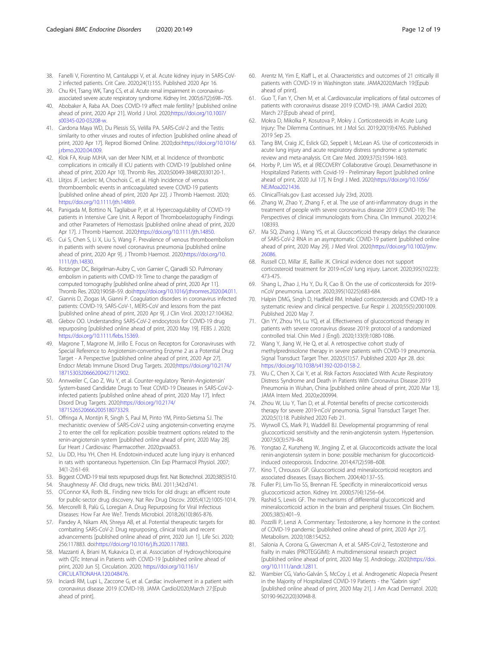- <span id="page-11-0"></span>38. Fanelli V, Fiorentino M, Cantaluppi V, et al. Acute kidney injury in SARS-CoV-2 infected patients. Crit Care. 2020;24(1):155. Published 2020 Apr 16.
- 39. Chu KH, Tsang WK, Tang CS, et al. Acute renal impairment in coronavirusassociated severe acute respiratory syndrome. Kidney Int. 2005;67(2):698–705.
- 40. Abobaker A, Raba AA. Does COVID-19 affect male fertility? [published online ahead of print, 2020 Apr 21]. World J Urol. 2020[;https://doi.org/10.1007/](https://doi.org/10.1007/s00345-020-03208-w) [s00345-020-03208-w.](https://doi.org/10.1007/s00345-020-03208-w)
- 41. Cardona Maya WD, Du Plessis SS, Velilla PA. SARS-CoV-2 and the Testis: similarity to other viruses and routes of infection [published online ahead of print, 2020 Apr 17]. Reprod Biomed Online. 2020;doi[:https://doi.org/10.1016/](https://doi.org/10.1016/j.rbmo.2020.04.009) [j.rbmo.2020.04.009](https://doi.org/10.1016/j.rbmo.2020.04.009).
- 42. Klok FA, Kruip MJHA, van der Meer NJM, et al. Incidence of thrombotic complications in critically ill ICU patients with COVID-19 [published online ahead of print, 2020 Apr 10]. Thromb Res. 2020;S0049-3848(20)30120-1.
- 43. Llitjos JF, Leclerc M, Chochois C, et al. High incidence of venous thromboembolic events in anticoagulated severe COVID-19 patients [published online ahead of print, 2020 Apr 22]. J Thromb Haemost. 2020; [https://doi.org/10.1111/jth.14869.](https://doi.org/10.1111/jth.14869)
- 44. Panigada M, Bottino N, Tagliabue P, et al. Hypercoagulability of COVID-19 patients in Intensive Care Unit. A Report of Thromboelastography Findings and other Parameters of Hemostasis [published online ahead of print, 2020 Apr 17]. J Thromb Haemost. 2020;[https://doi.org/10.1111/jth.14850.](https://doi.org/10.1111/jth.14850)
- 45. Cui S, Chen S, Li X, Liu S, Wang F. Prevalence of venous thromboembolism in patients with severe novel coronavirus pneumonia [published online ahead of print, 2020 Apr 9]. J Thromb Haemost. 2020[;https://doi.org/10.](https://doi.org/10.1111/jth.14830) [1111/jth.14830](https://doi.org/10.1111/jth.14830).
- 46. Rotzinger DC, Beigelman-Aubry C, von Garnier C, Qanadli SD. Pulmonary embolism in patients with COVID-19: Time to change the paradigm of computed tomography [published online ahead of print, 2020 Apr 11]. Thromb Res. 2020;190:58–59. doi[:https://doi.org/10.1016/j.thromres.2020.04.011.](https://doi.org/10.1016/j.thromres.2020.04.011)
- 47. Giannis D, Ziogas IA, Gianni P. Coagulation disorders in coronavirus infected patients: COVID-19, SARS-CoV-1, MERS-CoV and lessons from the past [published online ahead of print, 2020 Apr 9]. J Clin Virol. 2020;127:104362.
- 48. Glebov OO. Understanding SARS-CoV-2 endocytosis for COVID-19 drug repurposing [published online ahead of print, 2020 May 19]. FEBS J. 2020; [https://doi.org/10.1111/febs.15369.](https://doi.org/10.1111/febs.15369)
- 49. Magrone T, Magrone M, Jirillo E. Focus on Receptors for Coronaviruses with Special Reference to Angiotensin-converting Enzyme 2 as a Potential Drug Target - A Perspective [published online ahead of print, 2020 Apr 27]. Endocr Metab Immune Disord Drug Targets. 2020;[https://doi.org/10.2174/](https://doi.org/10.2174/1871530320666200427112902) [1871530320666200427112902.](https://doi.org/10.2174/1871530320666200427112902)
- 50. Annweiler C, Cao Z, Wu Y, et al. Counter-regulatory 'Renin-Angiotensin' System-based Candidate Drugs to Treat COVID-19 Diseases in SARS-CoV-2 infected patients [published online ahead of print, 2020 May 17]. Infect Disord Drug Targets. 2020[;https://doi.org/10.2174/](https://doi.org/10.2174/1871526520666200518073329) [1871526520666200518073329.](https://doi.org/10.2174/1871526520666200518073329)
- 51. Offringa A, Montijn R, Singh S, Paul M, Pinto YM, Pinto-Sietsma SJ. The mechanistic overview of SARS-CoV-2 using angiotensin-converting enzyme 2 to enter the cell for replication: possible treatment options related to the renin-angiotensin system [published online ahead of print, 2020 May 28]. Eur Heart J Cardiovasc Pharmacother. 2020;pvaa053.
- 52. Liu DD, Hsu YH, Chen HI. Endotoxin-induced acute lung injury is enhanced in rats with spontaneous hypertension. Clin Exp Pharmacol Physiol. 2007; 34(1-2):61-69.
- 53. Biggest COVID-19 trial tests repurposed drugs first. Nat Biotechnol. 2020;38(5):510.
- 54. Shaughnessy AF. Old drugs, new tricks. BMJ. 2011;342:d741.
- 55. O'Connor KA, Roth BL. Finding new tricks for old drugs: an efficient route
- for public-sector drug discovery. Nat Rev Drug Discov. 2005;4(12):1005-1014. 56. Mercorelli B, Palù G, Loregian A. Drug Repurposing for Viral Infectious
- Diseases: How Far Are We?. Trends Microbiol. 2018;26(10):865-876. 57. Pandey A, Nikam AN, Shreya AB, et al. Potential therapeutic targets for combating SARS-CoV-2: Drug repurposing, clinical trials and recent advancements [published online ahead of print, 2020 Jun 1]. Life Sci. 2020; 256:117883. doi[:https://doi.org/10.1016/j.lfs.2020.117883.](https://doi.org/10.1016/j.lfs.2020.117883)
- 58. Mazzanti A, Briani M, Kukavica D, et al. Association of Hydroxychloroquine with QTc Interval in Patients with COVID-19 [published online ahead of print, 2020 Jun 5]. Circulation. 2020; [https://doi.org/10.1161/](https://doi.org/10.1161/CIRCULATIONAHA.120.048476) [CIRCULATIONAHA.120.048476](https://doi.org/10.1161/CIRCULATIONAHA.120.048476).
- 59. Inciardi RM, Lupi L, Zaccone G, et al. Cardiac involvement in a patient with coronavirus disease 2019 (COVID-19). JAMA Cardiol2020;March 27:[Epub ahead of print].
- 60. Arentz M, Yim E, Klaff L, et al. Characteristics and outcomes of 21 critically ill patients with COVID-19 in Washington state. JAMA2020;March 19:[Epub ahead of print].
- 61. Guo T, Fan Y, Chen M, et al. Cardiovascular implications of fatal outcomes of patients with coronavirus disease 2019 (COVID-19). JAMA Cardiol 2020; March 27:[Epub ahead of print].
- 62. Mokra D, Mikolka P, Kosutova P, Mokry J. Corticosteroids in Acute Lung Injury: The Dilemma Continues. Int J Mol Sci. 2019;20(19):4765. Published 2019 Sep 25.
- 63. Tang BM, Craig JC, Eslick GD, Seppelt I, McLean AS. Use of corticosteroids in acute lung injury and acute respiratory distress syndrome: a systematic review and meta-analysis. Crit Care Med. 2009;37(5):1594-1603.
- 64. Horby P, Lim WS, et al (RECOVERY Collaborative Group). Dexamethasone in Hospitalized Patients with Covid-19 - Preliminary Report [published online ahead of print, 2020 Jul 17]. N Engl J Med. 2020[;https://doi.org/10.1056/](https://doi.org/10.1056/NEJMoa2021436) [NEJMoa2021436](https://doi.org/10.1056/NEJMoa2021436).
- 65. ClinicalTrials.gov (Last accessed July 23rd, 2020).
- 66. Zhang W, Zhao Y, Zhang F, et al. The use of anti-inflammatory drugs in the treatment of people with severe coronavirus disease 2019 (COVID-19): The Perspectives of clinical immunologists from China. Clin Immunol. 2020;214: 108393.
- 67. Ma SQ, Zhang J, Wang YS, et al. Glucocorticoid therapy delays the clearance of SARS-CoV-2 RNA in an asymptomatic COVID-19 patient [published online ahead of print, 2020 May 29]. J Med Virol. 2020;[https://doi.org/10.1002/jmv.](https://doi.org/10.1002/jmv.26086) [26086.](https://doi.org/10.1002/jmv.26086)
- 68. Russell CD, Millar JE, Baillie JK. Clinical evidence does not support corticosteroid treatment for 2019-nCoV lung injury. Lancet. 2020;395(10223): 473-475.
- 69. Shang L, Zhao J, Hu Y, Du R, Cao B. On the use of corticosteroids for 2019 nCoV pneumonia. Lancet. 2020;395(10225):683-684.
- 70. Halpin DMG, Singh D, Hadfield RM. Inhaled corticosteroids and COVID-19: a systematic review and clinical perspective. Eur Respir J. 2020;55(5):2001009. Published 2020 May 7.
- 71. Qin YY, Zhou YH, Lu YQ, et al. Effectiveness of glucocorticoid therapy in patients with severe coronavirus disease 2019: protocol of a randomized controlled trial. Chin Med J (Engl). 2020;133(9):1080-1086.
- 72. Wang Y, Jiang W, He Q, et al. A retrospective cohort study of methylprednisolone therapy in severe patients with COVID-19 pneumonia. Signal Transduct Target Ther. 2020;5(1):57. Published 2020 Apr 28. doi: <https://doi.org/10.1038/s41392-020-0158-2>.
- 73. Wu C, Chen X, Cai Y, et al. Risk Factors Associated With Acute Respiratory Distress Syndrome and Death in Patients With Coronavirus Disease 2019 Pneumonia in Wuhan, China [published online ahead of print, 2020 Mar 13]. JAMA Intern Med. 2020;e200994.
- 74. Zhou W, Liu Y, Tian D, et al. Potential benefits of precise corticosteroids therapy for severe 2019-nCoV pneumonia. Signal Transduct Target Ther. 2020;5(1):18. Published 2020 Feb 21.
- 75. Wyrwoll CS, Mark PJ, Waddell BJ. Developmental programming of renal glucocorticoid sensitivity and the renin-angiotensin system. Hypertension. 2007;50(3):579–84.
- 76. Yongtao Z, Kunzheng W, Jingjing Z, et al. Glucocorticoids activate the local renin-angiotensin system in bone: possible mechanism for glucocorticoidinduced osteoporosis. Endocrine. 2014;47(2):598–608.
- 77. Kino T, Chrousos GP. Glucocorticoid and mineralocorticoid receptors and associated diseases. Essays Biochem. 2004;40:137–55.
- 78. Fuller PJ, Lim-Tio SS, Brennan FE. Specificity in mineralocorticoid versus glucocorticoid action. Kidney Int. 2000;57(4):1256–64.
- 79. Rashid S, Lewis GF. The mechanisms of differential glucocorticoid and mineralocorticoid action in the brain and peripheral tissues. Clin Biochem. 2005;38(5):401–9.
- 80. Pozzilli P, Lenzi A. Commentary: Testosterone, a key hormone in the context of COVID-19 pandemic [published online ahead of print, 2020 Apr 27]. Metabolism. 2020;108:154252.
- 81. Salonia A, Corona G, Giwercman A, et al. SARS-CoV-2, Testosterone and frailty in males (PROTEGGIMI): A multidimensional research project [published online ahead of print, 2020 May 5]. Andrology. 2020;[https://doi.](https://doi.org/10.1111/andr.12811) [org/10.1111/andr.12811](https://doi.org/10.1111/andr.12811).
- 82. Wambier CG, Vaño-Galván S, McCoy J, et al. Androgenetic Alopecia Present in the Majority of Hospitalized COVID-19 Patients - the "Gabrin sign [published online ahead of print, 2020 May 21]. J Am Acad Dermatol. 2020; S0190-9622(20)30948-8.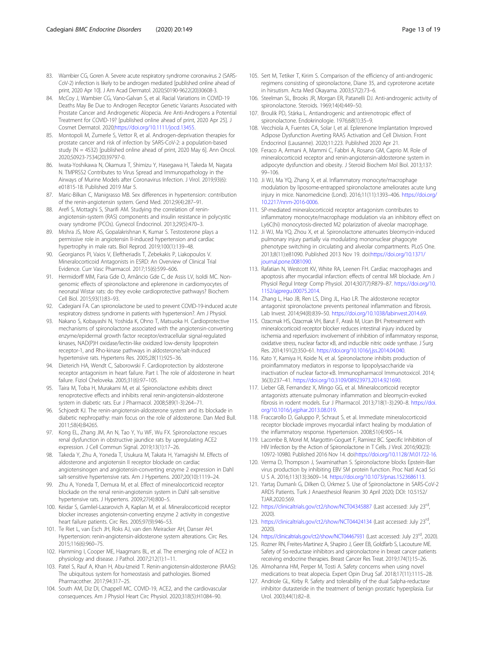- <span id="page-12-0"></span>83. Wambier CG, Goren A. Severe acute respiratory syndrome coronavirus 2 (SARS-CoV-2) infection is likely to be androgen mediated [published online ahead of print, 2020 Apr 10]. J Am Acad Dermatol. 2020;S0190-9622(20)30608-3.
- 84. McCoy J, Wambier CG, Vano-Galvan S, et al. Racial Variations in COVID-19 Deaths May Be Due to Androgen Receptor Genetic Variants Associated with Prostate Cancer and Androgenetic Alopecia. Are Anti-Androgens a Potential Treatment for COVID-19? [published online ahead of print, 2020 Apr 25]. J Cosmet Dermatol. 2020[;https://doi.org/10.1111/jocd.13455.](https://doi.org/10.1111/jocd.13455)
- 85. Montopoli M, Zumerle S, Vettor R, et al. Androgen-deprivation therapies for prostate cancer and risk of infection by SARS-CoV-2: a population-based study (N = 4532) [published online ahead of print, 2020 May 6]. Ann Oncol. 2020;S0923-7534(20)39797-0.
- 86. Iwata-Yoshikawa N, Okamura T, Shimizu Y, Hasegawa H, Takeda M, Nagata N. TMPRSS2 Contributes to Virus Spread and Immunopathology in the Airways of Murine Models after Coronavirus Infection. J Virol. 2019;93(6): e01815-18. Published 2019 Mar 5.
- 87. Maric-Bilkan C, Manigrasso MB. Sex differences in hypertension: contribution of the renin-angiotensin system. Gend Med. 2012;9(4):287–91.
- 88. Arefi S, Mottaghi S, Sharifi AM. Studying the correlation of reninangiotensin-system (RAS) components and insulin resistance in polycystic ovary syndrome (PCOs). Gynecol Endocrinol. 2013;29(5):470–3.
- 89. Mishra JS, More AS, Gopalakrishnan K, Kumar S. Testosterone plays a permissive role in angiotensin II-induced hypertension and cardiac hypertrophy in male rats. Biol Reprod. 2019;100(1):139–48.
- 90. Georgianos PI, Vaios V, Eleftheriadis T, Zebekakis P, Liakopoulos V. Mineralocorticoid Antagonists in ESRD: An Overview of Clinical Trial Evidence. Curr Vasc Pharmacol. 2017;15(6):599–606.
- 91. Hermidorff MM, Faria Gde O, Amâncio Gde C, de Assis LV, Isoldi MC. Nongenomic effects of spironolactone and eplerenone in cardiomyocytes of neonatal Wistar rats: do they evoke cardioprotective pathways? Biochem Cell Biol. 2015;93(1):83–93.
- 92. Cadegiani FA. Can spironolactone be used to prevent COVID-19-induced acute respiratory distress syndrome in patients with hypertension?. Am J Physiol.
- 93. Nakano S, Kobayashi N, Yoshida K, Ohno T, Matsuoka H. Cardioprotective mechanisms of spironolactone associated with the angiotensin-converting enzyme/epidermal growth factor receptor/extracellular signal-regulated kinases, NAD(P)H oxidase/lectin-like oxidized low-density lipoprotein receptor-1, and Rho-kinase pathways in aldosterone/salt-induced hypertensive rats. Hypertens Res. 2005;28(11):925–36.
- 94. Dieterich HA, Wendt C, Saborowski F. Cardioprotection by aldosterone receptor antagonism in heart failure. Part I. The role of aldosterone in heart failure. Fiziol Cheloveka. 2005;31(6):97–105.
- Taira M, Toba H, Murakami M, et al. Spironolactone exhibits direct renoprotective effects and inhibits renal renin-angiotensin-aldosterone system in diabetic rats. Eur J Pharmacol. 2008;589(1-3):264–71.
- 96. Schjoedt KJ. The renin-angiotensin-aldosterone system and its blockade in diabetic nephropathy: main focus on the role of aldosterone. Dan Med Bull. 2011;58(4):B4265.
- 97. Kong EL, Zhang JM, An N, Tao Y, Yu WF, Wu FX. Spironolactone rescues renal dysfunction in obstructive jaundice rats by upregulating ACE2 expression. J Cell Commun Signal. 2019;13(1):17–26.
- 98. Takeda Y, Zhu A, Yoneda T, Usukura M, Takata H, Yamagishi M. Effects of aldosterone and angiotensin II receptor blockade on cardiac angiotensinogen and angiotensin-converting enzyme 2 expression in Dahl salt-sensitive hypertensive rats. Am J Hypertens. 2007;20(10):1119–24.
- 99. Zhu A, Yoneda T, Demura M, et al. Effect of mineralocorticoid receptor blockade on the renal renin-angiotensin system in Dahl salt-sensitive hypertensive rats. J Hypertens. 2009;27(4):800–5.
- 100. Keidar S, Gamliel-Lazarovich A, Kaplan M, et al. Mineralocorticoid receptor blocker increases angiotensin-converting enzyme 2 activity in congestive heart failure patients. Circ Res. 2005;97(9):946–53.
- 101. Te Riet L, van Esch JH, Roks AJ, van den Meiracker AH, Danser AH. Hypertension: renin-angiotensin-aldosterone system alterations. Circ Res. 2015;116(6):960–75.
- 102. Hamming I, Cooper ME, Haagmans BL, et al. The emerging role of ACE2 in physiology and disease. J Pathol. 2007;212(1):1–11.
- 103. Patel S, Rauf A, Khan H, Abu-Izneid T. Renin-angiotensin-aldosterone (RAAS): The ubiquitous system for homeostasis and pathologies. Biomed Pharmacother. 2017;94:317–25.
- 104. South AM, Diz DI, Chappell MC. COVID-19, ACE2, and the cardiovascular consequences. Am J Physiol Heart Circ Physiol. 2020;318(5):H1084–90.
- 105. Sert M, Tetiker T, Kirim S. Comparison of the efficiency of anti-androgenic regimens consisting of spironolactone, Diane 35, and cyproterone acetate in hirsutism. Acta Med Okayama. 2003;57(2):73–6.
- 106. Steelman SL, Brooks JR, Morgan ER, Patanelli DJ. Anti-androgenic activity of spironolactone. Steroids. 1969;14(4):449–50.
- 107. Broulik PD, Stárka L. Antiandrogenic and antirenotropic effect of spironolactone. Endokrinologie. 1976;68(1):35–9.
- 108. Vecchiola A, Fuentes CA, Solar I, et al. Eplerenone Implantation Improved Adipose Dysfunction Averting RAAS Activation and Cell Division. Front Endocrinol (Lausanne). 2020;11:223. Published 2020 Apr 21.
- 109. Feraco A, Armani A, Mammi C, Fabbri A, Rosano GM, Caprio M. Role of mineralocorticoid receptor and renin-angiotensin-aldosterone system in adipocyte dysfunction and obesity. J Steroid Biochem Mol Biol. 2013;137: 99–106.
- 110. Ji WJ, Ma YQ, Zhang X, et al. Inflammatory monocyte/macrophage modulation by liposome-entrapped spironolactone ameliorates acute lung injury in mice. Nanomedicine (Lond). 2016;11(11):1393–406. [https://doi.org/](https://doi.org/10.2217/nnm-2016-0006) [10.2217/nnm-2016-0006.](https://doi.org/10.2217/nnm-2016-0006)
- 111. SP-mediated mineralocorticoid receptor antagonism contributes to inflammatory monocyte/macrophage modulation via an inhibitory effect on Ly6C(hi) monocytosis-directed M2 polarization of alveolar macrophage.
- 112. Ji WJ, Ma YQ, Zhou X, et al. Spironolactone attenuates bleomycin-induced pulmonary injury partially via modulating mononuclear phagocyte phenotype switching in circulating and alveolar compartments. PLoS One. 2013;8(11):e81090. Published 2013 Nov 19. doi[:https://doi.org/10.1371/](https://doi.org/10.1371/journal.pone.0081090) [journal.pone.0081090](https://doi.org/10.1371/journal.pone.0081090).
- 113. Rafatian N, Westcott KV, White RA, Leenen FH. Cardiac macrophages and apoptosis after myocardial infarction: effects of central MR blockade. Am J Physiol Regul Integr Comp Physiol. 2014;307(7):R879–87. [https://doi.org/10.](https://doi.org/10.1152/ajpregu.00075.2014) [1152/ajpregu.00075.2014.](https://doi.org/10.1152/ajpregu.00075.2014)
- 114. Zhang L, Hao JB, Ren LS, Ding JL, Hao LR. The aldosterone receptor antagonist spironolactone prevents peritoneal inflammation and fibrosis. Lab Invest. 2014;94(8):839–50. <https://doi.org/10.1038/labinvest.2014.69>.
- 115. Ozacmak HS, Ozacmak VH, Barut F, Araslı M, Ucan BH. Pretreatment with mineralocorticoid receptor blocker reduces intestinal injury induced by ischemia and reperfusion: involvement of inhibition of inflammatory response, oxidative stress, nuclear factor κB, and inducible nitric oxide synthase. J Surg Res. 2014;191(2):350–61. [https://doi.org/10.1016/j.jss.2014.04.040.](https://doi.org/10.1016/j.jss.2014.04.040)
- 116. Kato Y, Kamiya H, Koide N, et al. Spironolactone inhibits production of proinflammatory mediators in response to lipopolysaccharide via inactivation of nuclear factor-κB. Immunopharmacol Immunotoxicol. 2014; 36(3):237–41. [https://doi.org/10.3109/08923973.2014.921690.](https://doi.org/10.3109/08923973.2014.921690)
- 117. Lieber GB, Fernandez X, Mingo GG, et al. Mineralocorticoid receptor antagonists attenuate pulmonary inflammation and bleomycin-evoked fibrosis in rodent models. Eur J Pharmacol. 2013;718(1-3):290-8. [https://doi.](https://doi.org/10.1016/j.ejphar.2013.08.019) [org/10.1016/j.ejphar.2013.08.019.](https://doi.org/10.1016/j.ejphar.2013.08.019)
- 118. Fraccarollo D, Galuppo P, Schraut S, et al. Immediate mineralocorticoid receptor blockade improves myocardial infarct healing by modulation of the inflammatory response. Hypertension. 2008;51(4):905–14.
- 119. Lacombe B, Morel M, Margottin-Goguet F, Ramirez BC. Specific Inhibition of HIV Infection by the Action of Spironolactone in T Cells. J Virol. 2016;90(23): 10972-10980. Published 2016 Nov 14. doi:<https://doi.org/10.1128/JVI.01722-16>.
- 120. Verma D, Thompson J, Swaminathan S. Spironolactone blocks Epstein-Barr virus production by inhibiting EBV SM protein function. Proc Natl Acad Sci U S A. 2016;113(13):3609–14. <https://doi.org/10.1073/pnas.1523686113>.
- 121. Yartaş Dumanlı G, Dilken O, Ürkmez S. Use of Spironolactone in SARS-CoV-2 ARDS Patients. Turk J Anaesthesiol Reanim 30 April 2020; DOI: 10.5152/ TJAR.2020.569.
- 122. [https://clinicaltrials.gov/ct2/show/NCT04345887](https://clinicaltrials.gov/ct2/show/NCT04345887?term=spironolactone+COVID&draw=2&rank=2) (Last accessed: July 23<sup>rd</sup>, 2020).
- 123. [https://clinicaltrials.gov/ct2/show/NCT04424134](https://clinicaltrials.gov/ct2/show/NCT04424134?term=spironolactone+COVID&draw=2&rank=1) (Last accessed: July 23rd, 2020).
- 124. <https://clinicaltrials.gov/ct2/show/NCT04467931> (Last accessed: July 23<sup>rd</sup>, 2020).
- 125. Rozner RN, Freites-Martinez A, Shapiro J, Geer EB, Goldfarb S, Lacouture ME. Safety of 5α-reductase inhibitors and spironolactone in breast cancer patients receiving endocrine therapies. Breast Cancer Res Treat. 2019;174(1):15–26.
- 126. Almohanna HM, Perper M, Tosti A. Safety concerns when using novel medications to treat alopecia. Expert Opin Drug Saf. 2018;17(11):1115–28.
- 127. Andriole GL, Kirby R. Safety and tolerability of the dual 5alpha-reductase inhibitor dutasteride in the treatment of benign prostatic hyperplasia. Eur Urol. 2003;44(1):82–8.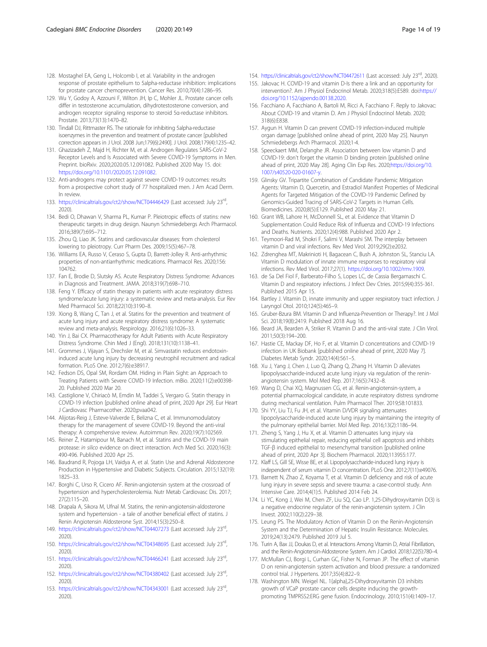- <span id="page-13-0"></span>128. Mostaghel EA, Geng L, Holcomb I, et al. Variability in the androgen response of prostate epithelium to 5alpha-reductase inhibition: implications for prostate cancer chemoprevention. Cancer Res. 2010;70(4):1286–95.
- 129. Wu Y, Godoy A, Azzouni F, Wilton JH, Ip C, Mohler JL. Prostate cancer cells differ in testosterone accumulation, dihydrotestosterone conversion, and androgen receptor signaling response to steroid 5α-reductase inhibitors. Prostate. 2013;73(13):1470–82.
- 130. Tindall DJ, Rittmaster RS. The rationale for inhibiting 5alpha-reductase isoenzymes in the prevention and treatment of prostate cancer [published correction appears in J Urol. 2008 Jun;179(6):2490]. J Urol. 2008;179(4):1235–42.
- 131. Ghazizadeh Z, Majd H, Richter M, et al. Androgen Regulates SARS-CoV-2 Receptor Levels and Is Associated with Severe COVID-19 Symptoms in Men. Preprint. bioRxiv. 2020;2020.05.12.091082. Published 2020 May 15. doi: <https://doi.org/10.1101/2020.05.12.091082>.
- 132. Anti-androgens may protect against severe COVID-19 outcomes: results from a prospective cohort study of 77 hospitalized men. J Am Acad Derm. In review.
- 133. <https://clinicaltrials.gov/ct2/show/NCT04446429> (Last accessed: July 23rd, 2020).
- 134. Bedi O, Dhawan V, Sharma PL, Kumar P. Pleiotropic effects of statins: new therapeutic targets in drug design. Naunyn Schmiedebergs Arch Pharmacol. 2016;389(7):695–712.
- 135. Zhou Q, Liao JK. Statins and cardiovascular diseases: from cholesterol lowering to pleiotropy. Curr Pharm Des. 2009;15(5):467–78.
- 136. Williams EA, Russo V, Ceraso S, Gupta D, Barrett-Jolley R. Anti-arrhythmic properties of non-antiarrhythmic medications. Pharmacol Res. 2020;156: 104762.
- 137. Fan E, Brodie D, Slutsky AS. Acute Respiratory Distress Syndrome: Advances in Diagnosis and Treatment. JAMA. 2018;319(7):698–710.
- 138. Feng Y. Efficacy of statin therapy in patients with acute respiratory distress syndrome/acute lung injury: a systematic review and meta-analysis. Eur Rev Med Pharmacol Sci. 2018;22(10):3190–8.
- 139. Xiong B, Wang C, Tan J, et al. Statins for the prevention and treatment of acute lung injury and acute respiratory distress syndrome: A systematic review and meta-analysis. Respirology. 2016;21(6):1026–33.
- 140. Yin J, Bai CX. Pharmacotherapy for Adult Patients with Acute Respiratory Distress Syndrome. Chin Med J (Engl). 2018;131(10):1138–41.
- 141. Grommes J, Vijayan S, Drechsler M, et al. Simvastatin reduces endotoxininduced acute lung injury by decreasing neutrophil recruitment and radical formation. PLoS One. 2012;7(6):e38917.
- 142. Fedson DS, Opal SM, Rordam OM. Hiding in Plain Sight: an Approach to Treating Patients with Severe COVID-19 Infection. mBio. 2020;11(2):e00398- 20. Published 2020 Mar 20.
- 143. Castiglione V, Chiriacò M, Emdin M, Taddei S, Vergaro G. Statin therapy in COVID-19 infection [published online ahead of print, 2020 Apr 29]. Eur Heart J Cardiovasc Pharmacother. 2020;pvaa042.
- 144. Alijotas-Reig J, Esteve-Valverde E, Belizna C, et al. Immunomodulatory therapy for the management of severe COVID-19. Beyond the anti-viral therapy: A comprehensive review. Autoimmun Rev. 2020;19(7):102569.
- 145. Reiner Ž, Hatamipour M, Banach M, et al. Statins and the COVID-19 main protease: in silico evidence on direct interaction. Arch Med Sci. 2020;16(3): 490-496. Published 2020 Apr 25.
- 146. Baudrand R, Pojoga LH, Vaidya A, et al. Statin Use and Adrenal Aldosterone Production in Hypertensive and Diabetic Subjects. Circulation. 2015;132(19): 1825–33.
- 147. Borghi C, Urso R, Cicero AF. Renin-angiotensin system at the crossroad of hypertension and hypercholesterolemia. Nutr Metab Cardiovasc Dis. 2017; 27(2):115–20.
- 148. Drapala A, Sikora M, Ufnal M. Statins, the renin-angiotensin-aldosterone system and hypertension - a tale of another beneficial effect of statins. J Renin Angiotensin Aldosterone Syst. 2014;15(3):250–8.
- 149. <https://clinicaltrials.gov/ct2/show/NCT04407273> (Last accessed: July 23rd, 2020).
- 150. <https://clinicaltrials.gov/ct2/show/NCT04348695> (Last accessed: July 23rd, 2020).
- 151. <https://clinicaltrials.gov/ct2/show/NCT04466241> (Last accessed: July 23rd, 2020).
- 152. <https://clinicaltrials.gov/ct2/show/NCT04380402> (Last accessed: July 23rd, 2020).
- 153. <https://clinicaltrials.gov/ct2/show/NCT04343001> (Last accessed: July 23rd, 2020).
- 154. <https://clinicaltrials.gov/ct2/show/NCT04472611> (Last accessed: July 23<sup>rd</sup>, 2020).
- 155. Jakovac H. COVID-19 and vitamin D-Is there a link and an opportunity for intervention?. Am J Physiol Endocrinol Metab. 2020;318(5):E589. doi[:https://](https://doi.org/10.1152/ajpendo.00138.2020) [doi.org/10.1152/ajpendo.00138.2020.](https://doi.org/10.1152/ajpendo.00138.2020)
- 156. Facchiano A, Facchiano A, Bartoli M, Ricci A, Facchiano F. Reply to Jakovac: About COVID-19 and vitamin D. Am J Physiol Endocrinol Metab. 2020; 318(6):E838.
- 157. Aygun H. Vitamin D can prevent COVID-19 infection-induced multiple organ damage [published online ahead of print, 2020 May 25]. Naunyn Schmiedebergs Arch Pharmacol. 2020;1-4.
- 158. Speeckaert MM, Delanghe JR. Association between low vitamin D and COVID-19: don't forget the vitamin D binding protein [published online ahead of print, 2020 May 28]. Aging Clin Exp Res. 2020;[https://doi.org/10.](https://doi.org/10.1007/s40520-020-01607-y) [1007/s40520-020-01607-y](https://doi.org/10.1007/s40520-020-01607-y).
- 159. Glinsky GV. Tripartite Combination of Candidate Pandemic Mitigation Agents: Vitamin D, Quercetin, and Estradiol Manifest Properties of Medicinal Agents for Targeted Mitigation of the COVID-19 Pandemic Defined by Genomics-Guided Tracing of SARS-CoV-2 Targets in Human Cells. Biomedicines. 2020;8(5):E129. Published 2020 May 21.
- 160. Grant WB, Lahore H, McDonnell SL, et al. Evidence that Vitamin D Supplementation Could Reduce Risk of Influenza and COVID-19 Infections and Deaths. Nutrients. 2020;12(4):988. Published 2020 Apr 2.
- 161. Teymoori-Rad M, Shokri F, Salimi V, Marashi SM. The interplay between vitamin D and viral infections. Rev Med Virol. 2019;29(2):e2032.
- 162. Zdrenghea MT, Makrinioti H, Bagacean C, Bush A, Johnston SL, Stanciu LA. Vitamin D modulation of innate immune responses to respiratory viral infections. Rev Med Virol. 2017;27(1). [https://doi.org/10.1002/rmv.1909.](https://doi.org/10.1002/rmv.1909)
- 163. de Sa Del Fiol F, Barberato-Filho S, Lopes LC, de Cassia Bergamaschi C. Vitamin D and respiratory infections. J Infect Dev Ctries. 2015;9(4):355-361. Published 2015 Apr 15.
- 164. Bartley J. Vitamin D, innate immunity and upper respiratory tract infection. J Laryngol Otol. 2010;124(5):465–9.
- 165. Gruber-Bzura BM. Vitamin D and Influenza-Prevention or Therapy?. Int J Mol Sci. 2018;19(8):2419. Published 2018 Aug 16.
- 166. Beard JA, Bearden A, Striker R. Vitamin D and the anti-viral state. J Clin Virol. 2011;50(3):194–200.
- 167. Hastie CE, Mackay DF, Ho F, et al. Vitamin D concentrations and COVID-19 infection in UK Biobank [published online ahead of print, 2020 May 7]. Diabetes Metab Syndr. 2020;14(4):561–5.
- 168. Xu J, Yang J, Chen J, Luo Q, Zhang Q, Zhang H. Vitamin D alleviates lipopolysaccharide-induced acute lung injury via regulation of the reninangiotensin system. Mol Med Rep. 2017;16(5):7432–8.
- 169. Wang D, Chai XQ, Magnussen CG, et al. Renin-angiotensin-system, a potential pharmacological candidate, in acute respiratory distress syndrome during mechanical ventilation. Pulm Pharmacol Ther. 2019;58:101833.
- 170. Shi YY, Liu TJ, Fu JH, et al. Vitamin D/VDR signaling attenuates lipopolysaccharide-induced acute lung injury by maintaining the integrity of the pulmonary epithelial barrier. Mol Med Rep. 2016;13(2):1186–94.
- 171. Zheng S, Yang J, Hu X, et al. Vitamin D attenuates lung injury via stimulating epithelial repair, reducing epithelial cell apoptosis and inhibits TGF-β induced epithelial to mesenchymal transition [published online ahead of print, 2020 Apr 3]. Biochem Pharmacol. 2020;113955:177.
- 172. Klaff LS, Gill SE, Wisse BE, et al. Lipopolysaccharide-induced lung injury is independent of serum vitamin D concentration. PLoS One. 2012;7(11):e49076.
- 173. Barnett N, Zhao Z, Koyama T, et al. Vitamin D deficiency and risk of acute lung injury in severe sepsis and severe trauma: a case-control study. Ann Intensive Care. 2014;4(1):5. Published 2014 Feb 24.
- 174. Li YC, Kong J, Wei M, Chen ZF, Liu SQ, Cao LP. 1,25-Dihydroxyvitamin D(3) is a negative endocrine regulator of the renin-angiotensin system. J Clin Invest. 2002;110(2):229–38.
- 175. Leung PS. The Modulatory Action of Vitamin D on the Renin-Angiotensin System and the Determination of Hepatic Insulin Resistance. Molecules. 2019;24(13):2479. Published 2019 Jul 5.
- 176. Turin A, Bax JJ, Doukas D, et al. Interactions Among Vitamin D, Atrial Fibrillation, and the Renin-Angiotensin-Aldosterone System. Am J Cardiol. 2018;122(5):780–4.
- 177. McMullan CJ, Borgi L, Curhan GC, Fisher N, Forman JP. The effect of vitamin D on renin-angiotensin system activation and blood pressure: a randomized control trial. J Hypertens. 2017;35(4):822–9.
- 178. Washington MN. Weigel NL. 1{alpha},25-Dihydroxyvitamin D3 inhibits growth of VCaP prostate cancer cells despite inducing the growthpromoting TMPRSS2:ERG gene fusion. Endocrinology. 2010;151(4):1409–17.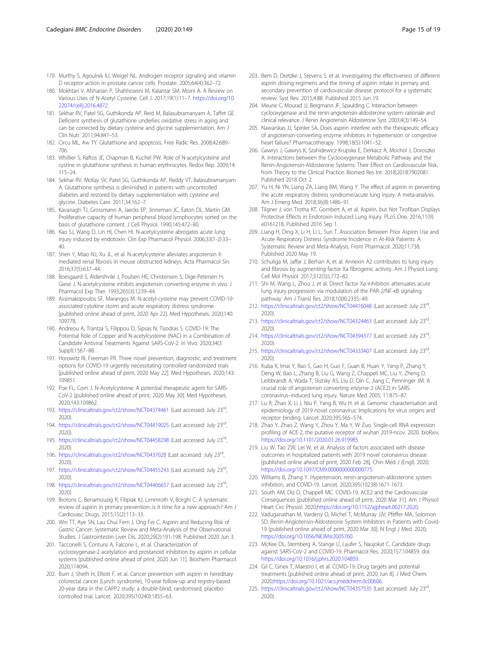- <span id="page-14-0"></span>179. Murthy S, Agoulnik IU, Weigel NL. Androgen receptor signaling and vitamin D receptor action in prostate cancer cells. Prostate. 2005;64(4):362–72.
- 180. Mokhtari V, Afsharian P, Shahhoseini M, Kalantar SM, Moini A. A Review on Various Uses of N-Acetyl Cysteine. Cell J. 2017;19(1):11–7. [https://doi.org/10.](https://doi.org/10.22074/cellj.2016.4872) [22074/cellj.2016.4872.](https://doi.org/10.22074/cellj.2016.4872)
- 181. Sekhar RV, Patel SG, Guthikonda AP, Reid M, Balasubramanyam A, Taffet GE. Deficient synthesis of glutathione underlies oxidative stress in aging and can be corrected by dietary cysteine and glycine supplementation. Am J Clin Nutr. 2011;94:847–53.
- 182. Circu ML, Aw TY. Glutathione and apoptosis. Free Radic Res. 2008;42:689– 706.
- 183. Whillier S, Raftos JE, Chapman B, Kuchel PW. Role of N-acetylcysteine and cystine in glutathione synthesis in human erythrocytes. Redox Rep. 2009;14: 115–24.
- 184. Sekhar RV, McKay SV, Patel SG, Guthikonda AP, Reddy VT, Balasubramanyam A. Glutathione synthesis is diminished in patients with uncontrolled diabetes and restored by dietary supplementation with cysteine and glycine. Diabetes Care. 2011;34:162–7.
- 185. Kavanagh TJ, Grossmann A, Jaecks EP, Jinneman JC, Eaton DL, Martin GM. Proliferative capacity of human peripheral blood lymphocytes sorted on the basis of glutathione content. J Cell Physiol. 1990;145:472–80.
- 186. Kao SJ, Wang D, Lin HI, Chen HI. N-acetylcysteine abrogates acute lung injury induced by endotoxin. Clin Exp Pharmacol Physiol. 2006;33(1-2):33– 40.
- 187. Shen Y, Miao NJ, Xu JL, et al. N-acetylcysteine alleviates angiotensin IImediated renal fibrosis in mouse obstructed kidneys. Acta Pharmacol Sin. 2016;37(5):637–44.
- 188. Boesgaard S, Aldershvile J, Poulsen HE, Christensen S, Dige-Petersen H, Giese J. N-acetylcysteine inhibits angiotensin converting enzyme in vivo. J Pharmacol Exp Ther. 1993;265(3):1239–44.
- 189. Assimakopoulos SF, Marangos M. N-acetyl-cysteine may prevent COVID-19 associated cytokine storm and acute respiratory distress syndrome [published online ahead of print, 2020 Apr 22]. Med Hypotheses. 2020;140: 109778.
- 190. Andreou A, Trantza S, Filippou D, Sipsas N, Tsiodras S. COVID-19: The Potential Role of Copper and N-acetylcysteine (NAC) in a Combination of Candidate Antiviral Treatments Against SARS-CoV-2. In Vivo. 2020;34(3 Suppl):1567–88.
- 191. Horowitz RI, Freeman PR. Three novel prevention, diagnostic, and treatment options for COVID-19 urgently necessitating controlled randomized trials [published online ahead of print, 2020 May 22]. Med Hypotheses. 2020;143: 109851.
- 192. Poe FL, Corn J. N-Acetylcysteine: A potential therapeutic agent for SARS-CoV-2 [published online ahead of print, 2020 May 30]. Med Hypotheses. 2020;143:109862.
- 193. <https://clinicaltrials.gov/ct2/show/NCT04374461> (Last accessed: July 23rd, 2020).
- 194. <https://clinicaltrials.gov/ct2/show/NCT04419025> (Last accessed: July 23rd, 2020).
- 195. <https://clinicaltrials.gov/ct2/show/NCT04458298> (Last accessed: July 23<sup>rd</sup>, 2020).
- 196. <https://clinicaltrials.gov/ct2/show/NCT0437028> (Last accessed: July 23rd, 2020).
- 197. <https://clinicaltrials.gov/ct2/show/NCT04455243> (Last accessed: July 23<sup>rd</sup>, 2020).
- 198. <https://clinicaltrials.gov/ct2/show/NCT04466657> (Last accessed: July 23rd, 2020).
- 199. Brotons C, Benamouzig R, Filipiak KJ, Limmroth V, Borghi C. A systematic review of aspirin in primary prevention: is it time for a new approach? Am J Cardiovasc Drugs. 2015;15(2):113–33.
- 200. Win TT, Aye SN, Lau Chui Fern J, Ong Fei C. Aspirin and Reducing Risk of Gastric Cancer: Systematic Review and Meta-Analysis of the Observational Studies. J Gastrointestin Liver Dis. 2020;29(2):191-198. Published 2020 Jun 3.
- 201. Tacconelli S, Contursi A, Falcone L, et al. Characterization of cyclooxygenase-2 acetylation and prostanoid inhibition by aspirin in cellular systems [published online ahead of print, 2020 Jun 11]. Biochem Pharmacol. 2020;114094.
- 202. Burn J, Sheth H, Elliott F, et al. Cancer prevention with aspirin in hereditary colorectal cancer (Lynch syndrome), 10-year follow-up and registry-based 20-year data in the CAPP2 study: a double-blind, randomised, placebocontrolled trial. Lancet. 2020;395(10240):1855–63.
- 203. Bem D, Dretzke J, Stevens S, et al. Investigating the effectiveness of different aspirin dosing regimens and the timing of aspirin intake in primary and secondary prevention of cardiovascular disease: protocol for a systematic review. Syst Rev. 2015;4:88. Published 2015 Jun 19.
- 204. Meune C, Mourad JJ, Bergmann JF, Spaulding C. Interaction between cyclooxygenase and the renin-angiotensin-aldosterone system: rationale and clinical relevance. J Renin Angiotensin Aldosterone Syst. 2003;4(3):149–54.
- 205. Nawarskas JJ, Spinler SA. Does aspirin interfere with the therapeutic efficacy of angiotensin-converting enzyme inhibitors in hypertension or congestive heart failure? Pharmacotherapy. 1998;18(5):1041–52.
- 206. Gawrys J, Gawrys K, Szahidewicz-Krupska E, Derkacz A, Mochol J, Doroszko A. Interactions between the Cyclooxygenase Metabolic Pathway and the Renin-Angiotensin-Aldosterone Systems: Their Effect on Cardiovascular Risk, from Theory to the Clinical Practice. Biomed Res Int. 2018;2018:7902081. Published 2018 Oct 2.
- 207. Yu H, Ni YN, Liang ZA, Liang BM, Wang Y. The effect of aspirin in preventing the acute respiratory distress syndrome/acute lung injury: A meta-analysis. Am J Emerg Med. 2018;36(8):1486–91.
- 208. Tilgner J, von Trotha KT, Gombert A, et al. Aspirin, but Not Tirofiban Displays Protective Effects in Endotoxin Induced Lung Injury. PLoS One. 2016;11(9): e0161218. Published 2016 Sep 1.
- 209. Liang H, Ding X, Li H, Li L, Sun T. Association Between Prior Aspirin Use and Acute Respiratory Distress Syndrome Incidence in At-Risk Patients: A Systematic Review and Meta-Analysis. Front Pharmacol. 2020;11:738. Published 2020 May 19.
- 210. Schuliga M, Jaffar J, Berhan A, et al. Annexin A2 contributes to lung injury and fibrosis by augmenting factor Xa fibrogenic activity. Am J Physiol Lung Cell Mol Physiol. 2017;312(5):L772–82.
- 211. Shi M, Wang L, Zhou J, et al. Direct factor Xa inhibition attenuates acute lung injury progression via modulation of the PAR-2/NF-κB signaling pathway. Am J Transl Res. 2018;10(8):2335–49.
- 212. <https://clinicaltrials.gov/ct2/show/NCT04416048> (Last accessed: July 23rd, 2020).
- 213. <https://clinicaltrials.gov/ct2/show/NCT04324463> (Last accessed: July 23rd, 2020).
- 214. <https://clinicaltrials.gov/ct2/show/NCT04394377> (Last accessed: July 23rd, 2020).
- 215. <https://clinicaltrials.gov/ct2/show/NCT04333407> (Last accessed: July 23rd, 2020).
- 216. Kuba K, Imai Y, Rao S, Gao H, Guo F, Guan B, Huan Y, Yang P, Zhang Y, Deng W, Bao L, Zhang B, Liu G, Wang Z, Chappell MC, Liu Y, Zheng D, Leibbrandt A, Wada T, Slutsky AS, Liu D, Qin C, Jiang C, Penninger JM. A crucial role of angiotensin converting enzyme 2 (ACE2) in SARS coronavirus–induced lung injury. Nature Med 2005; 11:875–87.
- 217. Lu R, Zhao X, Li J, Niu P, Yang B, Wu H. et al. Genomic characterisation and epidemiology of 2019 novel coronavirus: Implications for virus origins and receptor binding. Lancet 2020;395:565–574.
- 218. Zhao Y, Zhao Z, Wang Y, Zhou Y, Ma Y, W Zuo. Single-cell RNA expression profiling of ACE-2, the putative receptor of wuhan 2019-ncov. 2020. bioRxiv, <https://doi.org/10.1101/2020.01.26.919985>.
- 219. Liu W, Tao ZW, Lei W, et al. Analysis of factors associated with disease outcomes in hospitalized patients with 2019 novel coronavirus disease [published online ahead of print, 2020 Feb 28]. Chin Med J (Engl). 2020; [https://doi.org/10.1097/CM9.0000000000000775.](https://doi.org/10.1097/CM9.0000000000000775)
- 220. Williams B, Zhang Y. Hypertension, renin-angiotensin-aldosterone system inhibition, and COVID-19. Lancet. 2020;395(10238):1671-1673.
- 221. South AM, Diz D, Chappell MC. COVID-19, ACE2 and the Cardiovascular Consequences [published online ahead of print, 2020 Mar 31]. Am J Physiol Heart Circ Physiol. 2020;<https://doi.org/10.1152/ajpheart.00217.2020>.
- 222. Vaduganathan M, Vardeny O, Michel T, McMurray JJV, Pfeffer MA, Solomon SD. Renin-Angiotensin-Aldosterone System Inhibitors in Patients with Covid-19 [published online ahead of print, 2020 Mar 30]. N Engl J Med. 2020; <https://doi.org/10.1056/NEJMsr2005760>.
- 223. McKee DL, Sternberg A, Stange U, Laufer S, Naujokat C. Candidate drugs against SARS-CoV-2 and COVID-19. Pharmacol Res. 2020;157:104859. doi: <https://doi.org/10.1016/j.phrs.2020.104859>.
- 224. Gil C, Ginex T, Maestro I, et al. COVID-19: Drug targets and potential treatments [published online ahead of print, 2020 Jun 8]. J Med Chem. 2020;<https://doi.org/10.1021/acs.jmedchem.0c00606>.
- 225. <https://clinicaltrials.gov/ct2/show/NCT04357535> (Last accessed: July 23rd, 2020).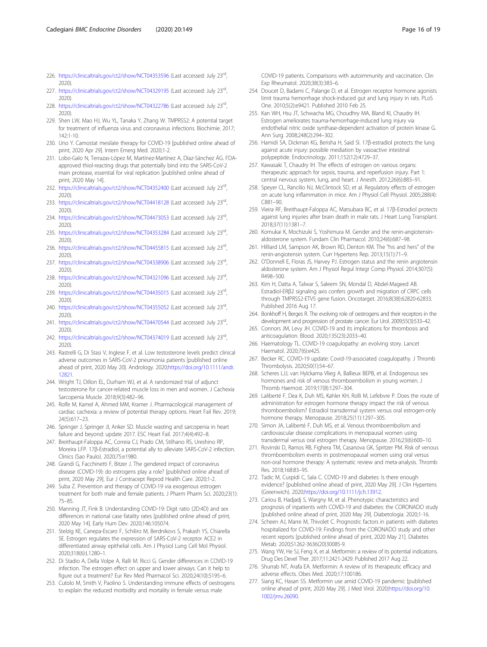- <span id="page-15-0"></span>226. <https://clinicaltrials.gov/ct2/show/NCT04353596> (Last accessed: July 23rd, 2020).
- 227. <https://clinicaltrials.gov/ct2/show/NCT04329195> (Last accessed: July 23rd, 2020).
- 228. <https://clinicaltrials.gov/ct2/show/NCT04322786> (Last accessed: July 23rd, 2020).
- 229. Shen LW, Mao HJ, Wu YL, Tanaka Y, Zhang W. TMPRSS2: A potential target for treatment of influenza virus and coronavirus infections. Biochimie. 2017; 142:1-10.
- 230. Uno Y. Camostat mesilate therapy for COVID-19 [published online ahead of print, 2020 Apr 29]. Intern Emerg Med. 2020;1-2.
- 231. Lobo-Galo N, Terrazas-López M, Martínez-Martínez A, Díaz-Sánchez ÁG. FDAapproved thiol-reacting drugs that potentially bind into the SARS-CoV-2 main protease, essential for viral replication [published online ahead of print, 2020 May 14].
- 232. <https://clinicaltrials.gov/ct2/show/NCT04352400> (Last accessed: July 23<sup>rd</sup>, 2020).
- 233. <https://clinicaltrials.gov/ct2/show/NCT04418128> (Last accessed: July 23<sup>rd</sup>, 2020).
- 234. <https://clinicaltrials.gov/ct2/show/NCT04473053> (Last accessed: July 23rd, 2020).
- 235. <https://clinicaltrials.gov/ct2/show/NCT04353284> (Last accessed: July 23rd, 2020).
- 236. <https://clinicaltrials.gov/ct2/show/NCT04455815> (Last accessed: July 23rd, 2020).
- 237. <https://clinicaltrials.gov/ct2/show/NCT04338906> (Last accessed: July 23rd, 2020).
- 238. <https://clinicaltrials.gov/ct2/show/NCT04321096> (Last accessed: July 23rd, 2020).
- 239. <https://clinicaltrials.gov/ct2/show/NCT04435015> (Last accessed: July 23rd, 2020).
- 240. <https://clinicaltrials.gov/ct2/show/NCT04355052> (Last accessed: July 23rd, 2020).
- 241. <https://clinicaltrials.gov/ct2/show/NCT04470544> (Last accessed: July 23<sup>rd</sup>, 2020).
- 242. <https://clinicaltrials.gov/ct2/show/NCT04374019> (Last accessed: July 23rd, 2020).
- 243. Rastrelli G, Di Stasi V, Inglese F, et al. Low testosterone levels predict clinical adverse outcomes in SARS-CoV-2 pneumonia patients [published online ahead of print, 2020 May 20]. Andrology. 2020;[https://doi.org/10.1111/andr.](https://doi.org/10.1111/andr.12821) [12821.](https://doi.org/10.1111/andr.12821)
- 244. Wright TJ, Dillon EL, Durham WJ, et al. A randomized trial of adjunct testosterone for cancer-related muscle loss in men and women. J Cachexia Sarcopenia Muscle. 2018;9(3):482–96.
- 245. Rolfe M, Kamel A, Ahmed MM, Kramer J. Pharmacological management of cardiac cachexia: a review of potential therapy options. Heart Fail Rev. 2019; 24(5):617–23.
- 246. Springer J, Springer JI, Anker SD. Muscle wasting and sarcopenia in heart failure and beyond: update 2017. ESC Heart Fail. 2017;4(4):492–8.
- 247. Breithaupt-Faloppa AC, Correia CJ, Prado CM, Stilhano RS, Ureshino RP, Moreira LFP. 17β-Estradiol, a potential ally to alleviate SARS-CoV-2 infection. Clinics (Sao Paulo). 2020;75:e1980.
- 248. Grandi G, Facchinetti F, Bitzer J. The gendered impact of coronavirus disease (COVID-19): do estrogens play a role? [published online ahead of print, 2020 May 29]. Eur J Contracept Reprod Health Care. 2020;1-2.
- 249. Suba Z. Prevention and therapy of COVID-19 via exogenous estrogen treatment for both male and female patients. J Pharm Pharm Sci. 2020;23(1): 75–85.
- 250. Manning JT, Fink B. Understanding COVID-19: Digit ratio (2D:4D) and sex differences in national case fatality rates [published online ahead of print, 2020 May 14]. Early Hum Dev. 2020;146:105074.
- 251. Stelzig KE, Canepa-Escaro F, Schiliro M, Berdnikovs S, Prakash YS, Chiarella SE. Estrogen regulates the expression of SARS-CoV-2 receptor ACE2 in differentiated airway epithelial cells. Am J Physiol Lung Cell Mol Physiol. 2020;318(6):L1280–1.
- 252. Di Stadio A, Della Volpe A, Ralli M. Ricci G. Gender differences in COVID-19 infection. The estrogen effect on upper and lower airways. Can it help to figure out a treatment? Eur Rev Med Pharmacol Sci. 2020;24(10):5195–6.
- 253. Cutolo M, Smith V, Paolino S. Understanding immune effects of oestrogens to explain the reduced morbidity and mortality in female versus male

COVID-19 patients. Comparisons with autoimmunity and vaccination. Clin Exp Rheumatol. 2020;38(3):383–6.

- 254. Doucet D, Badami C, Palange D, et al. Estrogen receptor hormone agonists limit trauma hemorrhage shock-induced gut and lung injury in rats. PLoS One. 2010;5(2):e9421. Published 2010 Feb 25.
- 255. Kan WH, Hsu JT, Schwacha MG, Choudhry MA, Bland KI, Chaudry IH. Estrogen ameliorates trauma-hemorrhage-induced lung injury via endothelial nitric oxide synthase-dependent activation of protein kinase G. Ann Surg. 2008;248(2):294–302.
- 256. Hamidi SA, Dickman KG, Berisha H, Said SI. 17β-estradiol protects the lung against acute injury: possible mediation by vasoactive intestinal polypeptide. Endocrinology. 2011;152(12):4729–37.
- 257. Kawasaki T, Chaudry IH. The effects of estrogen on various organs: therapeutic approach for sepsis, trauma, and reperfusion injury. Part 1: central nervous system, lung, and heart. J Anesth. 2012;26(6):883–91.
- 258. Speyer CL, Rancilio NJ, McClintock SD, et al. Regulatory effects of estrogen on acute lung inflammation in mice. Am J Physiol Cell Physiol. 2005;288(4): C881–90.
- 259. Vieira RF, Breithaupt-Faloppa AC, Matsubara BC, et al. 17β-Estradiol protects against lung injuries after brain death in male rats. J Heart Lung Transplant. 2018;37(11):1381–7.
- 260. Komukai K, Mochizuki S, Yoshimura M. Gender and the renin-angiotensinaldosterone system. Fundam Clin Pharmacol. 2010;24(6):687–98.
- 261. Hilliard LM, Sampson AK, Brown RD, Denton KM. The "his and hers" of the renin-angiotensin system. Curr Hypertens Rep. 2013;15(1):71–9.
- 262. O'Donnell E, Floras JS, Harvey PJ. Estrogen status and the renin angiotensin aldosterone system. Am J Physiol Regul Integr Comp Physiol. 2014;307(5): R498–500.
- 263. Kim H, Datta A, Talwar S, Saleem SN, Mondal D, Abdel-Mageed AB. Estradiol-ERβ2 signaling axis confers growth and migration of CRPC cells through TMPRSS2-ETV5 gene fusion. Oncotarget. 2016;8(38):62820-62833. Published 2016 Aug 17.
- 264. Bonkhoff H, Berges R. The evolving role of oestrogens and their receptors in the development and progression of prostate cancer. Eur Urol. 2009;55(3):533–42.
- 265. Connors JM, Levy JH. COVID-19 and its implications for thrombosis and anticoagulation. Blood. 2020;135(23):2033–40.
- 266. Haematology TL. COVID-19 coagulopathy: an evolving story. Lancet Haematol. 2020;7(6):e425.
- 267. Becker RC. COVID-19 update: Covid-19-associated coagulopathy. J Thromb Thrombolysis. 2020;50(1):54–67.
- 268. Scheres LJJ, van Hylckama Vlieg A, Ballieux BEPB, et al. Endogenous sex hormones and risk of venous thromboembolism in young women. J Thromb Haemost. 2019;17(8):1297–304.
- 269. Laliberté F, Dea K, Duh MS, Kahler KH, Rolli M, Lefebvre P. Does the route of administration for estrogen hormone therapy impact the risk of venous thromboembolism? Estradiol transdermal system versus oral estrogen-only hormone therapy. Menopause. 2018;25(11):1297–305.
- 270. Simon JA, Laliberté F, Duh MS, et al. Venous thromboembolism and cardiovascular disease complications in menopausal women using transdermal versus oral estrogen therapy. Menopause. 2016;23(6):600–10.
- 271. Rovinski D, Ramos RB, Fighera TM, Casanova GK, Spritzer PM. Risk of venous thromboembolism events in postmenopausal women using oral versus non-oral hormone therapy: A systematic review and meta-analysis. Thromb Res. 2018;168:83–95.
- 272. Tadic M, Cuspidi C, Sala C. COVID-19 and diabetes: Is there enough evidence? [published online ahead of print, 2020 May 29]. J Clin Hypertens (Greenwich). 2020[;https://doi.org/10.1111/jch.13912](https://doi.org/10.1111/jch.13912).
- 273. Cariou B, Hadjadj S, Wargny M, et al. Phenotypic characteristics and prognosis of inpatients with COVID-19 and diabetes: the CORONADO study [published online ahead of print, 2020 May 29]. Diabetologia. 2020;1-16.
- 274. Scheen AJ, Marre M, Thivolet C. Prognostic factors in patients with diabetes hospitalized for COVID-19: Findings from the CORONADO study and other recent reports [published online ahead of print, 2020 May 21]. Diabetes Metab. 2020;S1262-3636(20)30085-9.
- 275. Wang YW, He SJ, Feng X, et al. Metformin: a review of its potential indications. Drug Des Devel Ther. 2017;11:2421-2429. Published 2017 Aug 22.
- 276. Shurrab NT, Arafa EA. Metformin: A review of its therapeutic efficacy and adverse effects. Obes Med. 2020;17:100186.
- 277. Siang KC, Hasan SS. Metformin use amid COVID-19 pandemic [published online ahead of print, 2020 May 29]. J Med Virol. 2020[;https://doi.org/10.](https://doi.org/10.1002/jmv.26090) [1002/jmv.26090.](https://doi.org/10.1002/jmv.26090)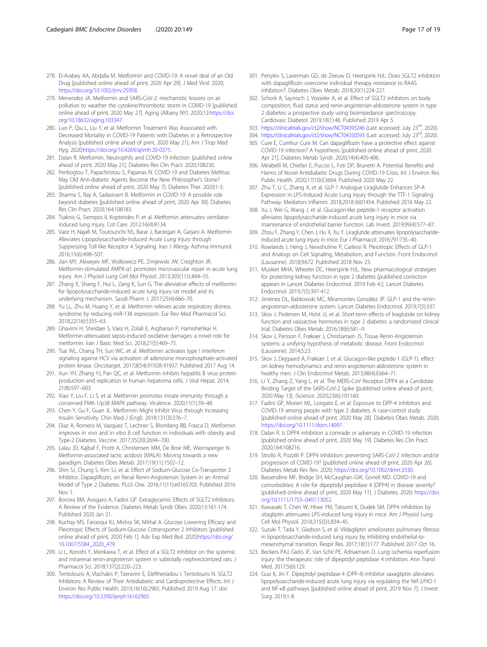- <span id="page-16-0"></span>278. El-Arabey AA, Abdalla M. Metformin and COVID-19: A novel deal of an Old Drug [published online ahead of print, 2020 Apr 29]. J Med Virol. 2020; [https://doi.org/10.1002/jmv.25958.](https://doi.org/10.1002/jmv.25958)
- 279. Menendez JA. Metformin and SARS-CoV-2: mechanistic lessons on air pollution to weather the cytokine/thrombotic storm in COVID-19 [published online ahead of print, 2020 May 27]. Aging (Albany NY). 2020;12[:https://doi.](https://doi.org/10.18632/aging.103347) [org/10.18632/aging.103347](https://doi.org/10.18632/aging.103347).
- 280. Luo P, Qiu L, Liu Y, et al. Metformin Treatment Was Associated with Decreased Mortality in COVID-19 Patients with Diabetes in a Retrospective Analysis [published online ahead of print, 2020 May 21]. Am J Trop Med Hyg. 2020[;https://doi.org/10.4269/ajtmh.20-0375.](https://doi.org/10.4269/ajtmh.20-0375)
- 281. Dalan R. Metformin, Neutrophils and COVID-19 Infection [published online ahead of print, 2020 May 21]. Diabetes Res Clin Pract. 2020;108230.
- 282. Penlioglou T, Papachristou S, Papanas N. COVID-19 and Diabetes Mellitus: May Old Anti-diabetic Agents Become the New Philosopher's Stone? [published online ahead of print, 2020 May 7]. Diabetes Ther. 2020;1-3.
- 283. Sharma S, Ray A, Sadasivam B. Metformin in COVID-19: A possible role beyond diabetes [published online ahead of print, 2020 Apr 30]. Diabetes Res Clin Pract. 2020;164:108183.
- 284. Tsaknis G, Siempos II, Kopterides P, et al. Metformin attenuates ventilatorinduced lung injury. Crit Care. 2012;16(4):R134.
- 285. Vaez H, Najafi M, Toutounchi NS, Barar J, Barzegari A, Garjani A. Metformin Alleviates Lipopolysaccharide-induced Acute Lung Injury through Suppressing Toll-like Receptor 4 Signaling. Iran J Allergy Asthma Immunol. 2016;15(6):498–507.
- 286. Jian MY, Alexeyev MF, Wolkowicz PE, Zmijewski JW, Creighton JR. Metformin-stimulated AMPK-α1 promotes microvascular repair in acute lung injury. Am J Physiol Lung Cell Mol Physiol. 2013;305(11):L844–55.
- 287. Zhang X, Shang F, Hui L, Zang K, Sun G. The alleviative effects of metformin for lipopolysaccharide-induced acute lung injury rat model and its underlying mechanism. Saudi Pharm J. 2017;25(4):666–70.
- 288. Yu LL, Zhu M, Huang Y, et al. Metformin relieves acute respiratory distress syndrome by reducing miR-138 expression. Eur Rev Med Pharmacol Sci. 2018;22(16):5355–63.
- 289. Ghavimi H, Sheidaei S, Vaez H, Zolali E, Asgharian P, Hamishehkar H. Metformin-attenuated sepsis-induced oxidative damages: a novel role for metformin. Iran J Basic Med Sci. 2018;21(5):469–75.
- 290. Tsai WL, Chang TH, Sun WC, et al. Metformin activates type I interferon signaling against HCV via activation of adenosine monophosphate-activated protein kinase. Oncotarget. 2017;8(54):91928-91937. Published 2017 Aug 14.
- 291. Xun YH, Zhang YJ, Pan QC, et al. Metformin inhibits hepatitis B virus protein production and replication in human hepatoma cells. J Viral Hepat. 2014; 21(8):597–603.
- 292. Xiao Y, Liu F, Li S, et al. Metformin promotes innate immunity through a conserved PMK-1/p38 MAPK pathway. Virulence. 2020;11(1):39–48.
- 293. Chen Y, Gu F, Guan JL. Metformin Might Inhibit Virus through Increasing Insulin Sensitivity. Chin Med J (Engl). 2018;131(3):376–7.
- 294. Diaz A, Romero M, Vazquez T, Lechner S, Blomberg BB, Frasca D. Metformin improves in vivo and in vitro B cell function in individuals with obesity and Type-2 Diabetes. Vaccine. 2017;35(20):2694–700.
- 295. Lalau JD, Kajbaf F, Protti A, Christensen MM, De Broe ME, Wiernsperger N. Metformin-associated lactic acidosis (MALA): Moving towards a new paradigm. Diabetes Obes Metab. 2017;19(11):1502–12.
- 296. Shin SJ, Chung S, Kim SJ, et al. Effect of Sodium-Glucose Co-Transporter 2 Inhibitor, Dapagliflozin, on Renal Renin-Angiotensin System in an Animal Model of Type 2 Diabetes. PLoS One. 2016;11(11):e0165703. Published 2016 Nov 1.
- 297. Bonora BM, Avogaro A, Fadini GP. Extraglycemic Effects of SGLT2 Inhibitors: A Review of the Evidence. Diabetes Metab Syndr Obes. 2020;13:161-174. Published 2020 Jan 21.
- 298. Kuchay MS, Farooqui KJ, Mishra SK, Mithal A. Glucose Lowering Efficacy and Pleiotropic Effects of Sodium-Glucose Cotransporter 2 Inhibitors [published online ahead of print, 2020 Feb 1]. Adv Exp Med Biol. 2020;[https://doi.org/](https://doi.org/10.1007/5584_2020_479) [10.1007/5584\\_2020\\_479](https://doi.org/10.1007/5584_2020_479).
- 299. Li L, Konishi Y, Morikawa T, et al. Effect of a SGLT2 inhibitor on the systemic and intrarenal renin-angiotensin system in subtotally nephrectomized rats. J Pharmacol Sci. 2018;137(2):220–223.
- 300. Tentolouris A, Vlachakis P, Tzeravini E, Eleftheriadou I, Tentolouris N. SGLT2 Inhibitors: A Review of Their Antidiabetic and Cardioprotective Effects. Int J Environ Res Public Health. 2019;16(16):2965. Published 2019 Aug 17. doi: <https://doi.org/10.3390/ijerph16162965>.
- 301. Petrykiv S, Laverman GD, de Zeeuw D, Heerspink HJL. Does SGLT2 inhibition with dapagliflozin overcome individual therapy resistance to RAAS inhibition?. Diabetes Obes Metab. 2018;20(1):224-227.
- 302. Schork A, Saynisch J, Vosseler A, et al. Effect of SGLT2 inhibitors on body composition, fluid status and renin-angiotensin-aldosterone system in type 2 diabetes: a prospective study using bioimpedance spectroscopy. Cardiovasc Diabetol. 2019;18(1):46. Published 2019 Apr 5.
- 303. <https://clinicaltrials.gov/ct2/show/NCT04393246> (Last accessed: July 23<sup>rd</sup>, 2020).
- 304. <https://clinicaltrials.gov/ct2/show/NCT04350593> (Last accessed: July 23<sup>rd</sup>, 2020).
- 305. Cure E, Cumhur Cure M. Can dapagliflozin have a protective effect against COVID-19 infection? A hypothesis [published online ahead of print, 2020 Apr 21]. Diabetes Metab Syndr. 2020;14(4):405-406.
- 306. Mirabelli M, Chiefari E, Puccio L, Foti DP, Brunetti A. Potential Benefits and Harms of Novel Antidiabetic Drugs During COVID-19 Crisis. Int J Environ Res Public Health. 2020;17(10):E3664. Published 2020 May 22.
- 307. Zhu T, Li C, Zhang X, et al. GLP-1 Analogue Liraglutide Enhances SP-A Expression in LPS-Induced Acute Lung Injury through the TTF-1 Signaling Pathway. Mediators Inflamm. 2018;2018:3601454. Published 2018 May 22.
- 308. Xu J, Wei G, Wang J, et al. Glucagon-like peptide-1 receptor activation alleviates lipopolysaccharide-induced acute lung injury in mice via maintenance of endothelial barrier function. Lab Invest. 2019;99(4):577–87.
- 309. Zhou F, Zhang Y, Chen J, Hu X, Xu Y. Liraglutide attenuates lipopolysaccharideinduced acute lung injury in mice. Eur J Pharmacol. 2016;791:735–40.
- 310. Rowlands J, Heng J, Newsholme P, Carlessi R. Pleiotropic Effects of GLP-1 and Analogs on Cell Signaling, Metabolism, and Function. Front Endocrinol (Lausanne). 2018;9:672. Published 2018 Nov 23.
- 311. Muskiet MHA, Wheeler DC, Heerspink HJL. New pharmacological strategies for protecting kidney function in type 2 diabetes [published correction appears in Lancet Diabetes Endocrinol. 2019 Feb 4;:]. Lancet Diabetes Endocrinol. 2019;7(5):397-412.
- 312. Jiménez DL, Babkowski MC, Miramontes González JP. GLP-1 and the reninangiotensin-aldosterone system. Lancet Diabetes Endocrinol. 2019;7(5):337.
- 313. Skov J, Pedersen M, Holst JJ, et al. Short-term effects of liraglutide on kidney function and vasoactive hormones in type 2 diabetes: a randomized clinical trial. Diabetes Obes Metab. 2016;18(6):581–9.
- 314. Skov J, Persson F, Frøkiær J, Christiansen JS. Tissue Renin-Angiotensin systems: a unifying hypothesis of metabolic disease. Front Endocrinol (Lausanne). 2014;5:23.
- 315. Skov J, Dejgaard A, Frøkiær J, et al. Glucagon-like peptide-1 (GLP-1): effect on kidney hemodynamics and renin-angiotensin-aldosterone system in healthy men. J Clin Endocrinol Metab. 2013;98(4):E664–71.
- 316. Li Y, Zhang Z, Yang L, et al. The MERS-CoV Receptor DPP4 as a Candidate Binding Target of the SARS-CoV-2 Spike [published online ahead of print, 2020 May 13]. iScience. 2020;23(6):101160.
- 317. Fadini GP, Morieri ML, Longato E, et al. Exposure to DPP-4 inhibitors and COVID-19 among people with type 2 diabetes. A case-control study [published online ahead of print, 2020 May 28]. Diabetes Obes Metab. 2020; [https://doi.org/10.1111/dom.14097.](https://doi.org/10.1111/dom.14097)
- 318. Dalan R. Is DPP4 inhibition a comrade or adversary in COVID-19 infection [published online ahead of print, 2020 May 19]. Diabetes Res Clin Pract. 2020;164:108216.
- 319. Strollo R, Pozzilli P. DPP4 inhibition: preventing SARS-CoV-2 infection and/or progression of COVID-19? [published online ahead of print, 2020 Apr 26]. Diabetes Metab Res Rev. 2020; [https://doi.org/10.1002/dmrr.3330.](https://doi.org/10.1002/dmrr.3330)
- 320. Bassendine MF, Bridge SH, McCaughan GW, Gorrell MD. COVID-19 and comorbidities: A role for dipeptidyl peptidase 4 (DPP4) in disease severity? [published online ahead of print, 2020 May 11]. J Diabetes. 2020; [https://doi.](https://doi.org/10.1111/1753-0407.13052) [org/10.1111/1753](https://doi.org/10.1111/1753-0407.13052)–0407.13052.
- 321. Kawasaki T, Chen W, Htwe YM, Tatsumi K, Dudek SM. DPP4 inhibition by sitagliptin attenuates LPS-induced lung injury in mice. Am J Physiol Lung Cell Mol Physiol. 2018;315(5):L834–45.
- 322. Suzuki T, Tada Y, Gladson S, et al. Vildagliptin ameliorates pulmonary fibrosis in lipopolysaccharide-induced lung injury by inhibiting endothelial-tomesenchymal transition. Respir Res. 2017;18(1):177. Published 2017 Oct 16.
- 323. Beckers PAJ, Gielis JF, Van Schil PE, Adriaensen D. Lung ischemia reperfusion injury: the therapeutic role of dipeptidyl peptidase 4 inhibition. Ann Transl Med. 2017;5(6):129.
- 324. Guo K, Jin F. Dipeptidyl peptidase-4 (DPP-4) inhibitor saxagliptin alleviates lipopolysaccharide-induced acute lung injury via regulating the Nrf-2/HO-1 and NF-κB pathways [published online ahead of print, 2019 Nov 7]. J Invest Surg. 2019;1-8.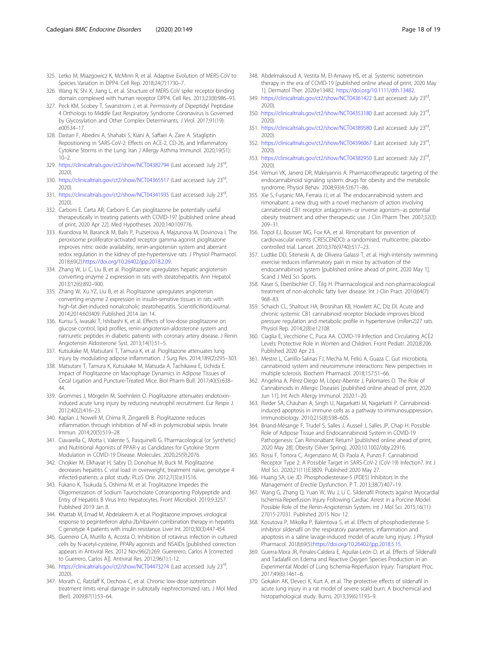- <span id="page-17-0"></span>325. Letko M, Miazgowicz K, McMinn R, et al. Adaptive Evolution of MERS-CoV to Species Variation in DPP4. Cell Rep. 2018;24(7):1730–7.
- 326. Wang N, Shi X, Jiang L, et al. Structure of MERS-CoV spike receptor-binding domain complexed with human receptor DPP4. Cell Res. 2013;23(8):986–93.
- 327. Peck KM, Scobey T, Swanstrom J, et al. Permissivity of Dipeptidyl Peptidase 4 Orthologs to Middle East Respiratory Syndrome Coronavirus Is Governed by Glycosylation and Other Complex Determinants. J Virol. 2017;91(19): e00534–17.
- 328. Dastan F, Abedini A, Shahabi S, Kiani A, Saffaei A, Zare A. Sitagliptin Repositioning in SARS-CoV-2: Effects on ACE-2, CD-26, and Inflammatory Cytokine Storms in the Lung. Iran J Allergy Asthma Immunol. 2020;19(S1):  $10-2.$
- 329. <https://clinicaltrials.gov/ct2/show/NCT04382794> (Last accessed: July 23rd, 2020).
- 330. <https://clinicaltrials.gov/ct2/show/NCT04365517> (Last accessed: July 23rd, 2020).
- 331. <https://clinicaltrials.gov/ct2/show/NCT04341935> (Last accessed: July 23rd, 2020).
- 332. Carboni E, Carta AR, Carboni E. Can pioglitazone be potentially useful therapeutically in treating patients with COVID-19? [published online ahead of print, 2020 Apr 22]. Med Hypotheses. 2020;140:109776.
- 333. Kvandova M, Barancik M, Balis P, Puzserova A, Majzunova M, Dovinova I. The peroxisome proliferator-activated receptor gamma agonist pioglitazone improves nitric oxide availability, renin-angiotensin system and aberrant redox regulation in the kidney of pre-hypertensive rats. J Physiol Pharmacol. 2018;69(2):[https://doi.org/10.26402/jpp.2018.2.09.](https://doi.org/10.26402/jpp.2018.2.09)
- 334. Zhang W, Li C, Liu B, et al. Pioglitazone upregulates hepatic angiotensin converting enzyme 2 expression in rats with steatohepatitis. Ann Hepatol. 2013;12(6):892–900.
- 335. Zhang W, Xu YZ, Liu B, et al. Pioglitazone upregulates angiotensin converting enzyme 2 expression in insulin-sensitive tissues in rats with high-fat diet-induced nonalcoholic steatohepatitis. ScientificWorldJournal. 2014;2014:603409. Published 2014 Jan 14.
- 336. Kurisu S, Iwasaki T, Ishibashi K, et al. Effects of low-dose pioglitazone on glucose control, lipid profiles, renin-angiotensin-aldosterone system and natriuretic peptides in diabetic patients with coronary artery disease. J Renin Angiotensin Aldosterone Syst. 2013;14(1):51–5.
- 337. Kutsukake M, Matsutani T, Tamura K, et al. Pioglitazone attenuates lung injury by modulating adipose inflammation. J Surg Res. 2014;189(2):295–303.
- 338. Matsutani T, Tamura K, Kutsukake M, Matsuda A, Tachikawa E, Uchida E. Impact of Pioglitazone on Macrophage Dynamics in Adipose Tissues of Cecal Ligation and Puncture-Treated Mice. Biol Pharm Bull. 2017;40(5):638– 44.
- 339. Grommes J, Mörgelin M, Soehnlein O. Pioglitazone attenuates endotoxininduced acute lung injury by reducing neutrophil recruitment. Eur Respir J. 2012;40(2):416–23.
- 340. Kaplan J, Nowell M, Chima R, Zingarelli B. Pioglitazone reduces inflammation through inhibition of NF-κB in polymicrobial sepsis. Innate Immun. 2014;20(5):519–28.
- 341. Ciavarella C, Motta I, Valente S, Pasquinelli G. Pharmacological (or Synthetic) and Nutritional Agonists of PPAR-γ as Candidates for Cytokine Storm Modulation in COVID-19 Disease. Molecules. 2020;25(9):2076.
- 342. Chojkier M, Elkhayat H, Sabry D, Donohue M, Buck M. Pioglitazone decreases hepatitis C viral load in overweight, treatment naïve, genotype 4 infected-patients: a pilot study. PLoS One. 2012;7(3):e31516.
- 343. Fukano K, Tsukuda S, Oshima M, et al. Troglitazone Impedes the Oligomerization of Sodium Taurocholate Cotransporting Polypeptide and Entry of Hepatitis B Virus Into Hepatocytes. Front Microbiol. 2019;9:3257. Published 2019 Jan 8.
- 344. Khattab M, Emad M, Abdelaleem A, et al. Pioglitazone improves virological response to peginterferon alpha-2b/ribavirin combination therapy in hepatitis C genotype 4 patients with insulin resistance. Liver Int. 2010;30(3):447-454.
- 345. Guerrero CA, Murillo A, Acosta O. Inhibition of rotavirus infection in cultured cells by N-acetyl-cysteine, PPARγ agonists and NSAIDs [published correction appears in Antiviral Res. 2012 Nov;96(2):269. Guererero, Carlos A [corrected to Guerrero, Carlos A]]. Antiviral Res. 2012;96(1):1-12.
- 346. <https://clinicaltrials.gov/ct2/show/NCT04473274> (Last accessed: July 23rd, 2020).
- 347. Morath C, Ratzlaff K, Dechow C, et al. Chronic low-dose isotretinoin treatment limits renal damage in subtotally nephrectomized rats. J Mol Med (Berl). 2009;87(1):53–64.
- 348. Abdelmaksoud A, Vestita M, El-Amawy HS, et al. Systemic isotretinoin therapy in the era of COVID-19 [published online ahead of print, 2020 May 1]. Dermatol Ther. 2020:e13482. [https://doi.org/10.1111/dth.13482.](https://doi.org/10.1111/dth.13482)
- 349. <https://clinicaltrials.gov/ct2/show/NCT04361422> (Last accessed: July 23rd, 2020).
- 350. <https://clinicaltrials.gov/ct2/show/NCT04353180> (Last accessed: July 23rd, 2020).
- 351. <https://clinicaltrials.gov/ct2/show/NCT04389580> (Last accessed: July 23rd, 2020).
- 352. <https://clinicaltrials.gov/ct2/show/NCT04396067> (Last accessed: July 23rd, 2020).
- 353. <https://clinicaltrials.gov/ct2/show/NCT04382950> (Last accessed: July 23rd, 2020).
- 354. Vemuri VK, Janero DR, Makriyannis A. Pharmacotherapeutic targeting of the endocannabinoid signaling system: drugs for obesity and the metabolic syndrome. Physiol Behav. 2008;93(4-5):671–86.
- 355. Xie S, Furjanic MA, Ferrara JJ, et al. The endocannabinoid system and rimonabant: a new drug with a novel mechanism of action involving cannabinoid CB1 receptor antagonism--or inverse agonism--as potential obesity treatment and other therapeutic use. J Clin Pharm Ther. 2007;32(3): 209–31.
- 356. Topol EJ, Bousser MG, Fox KA, et al. Rimonabant for prevention of cardiovascular events (CRESCENDO): a randomised, multicentre, placebocontrolled trial. Lancet. 2010;376(9740):517–23.
- 357. Ludtke DD, Siteneski A, de Oliveira Galassi T, et al. High-intensity swimming exercise reduces inflammatory pain in mice by activation of the endocannabinoid system [published online ahead of print, 2020 May 1]. Scand J Med Sci Sports.
- 358. Kaser S, Ebenbichler CF, Tilg H. Pharmacological and non-pharmacological treatment of non-alcoholic fatty liver disease. Int J Clin Pract. 2010;64(7): 968–83.
- 359. Schaich CL, Shaltout HA, Brosnihan KB, Howlett AC, Diz DI. Acute and chronic systemic CB1 cannabinoid receptor blockade improves blood pressure regulation and metabolic profile in hypertensive (mRen2)27 rats. Physiol Rep. 2014;2(8):e12108.
- 360. Ciaglia E, Vecchione C, Puca AA. COVID-19 Infection and Circulating ACE2 Levels: Protective Role in Women and Children. Front Pediatr. 2020;8:206. Published 2020 Apr 23.
- 361. Mestre L, Carrillo-Salinas FJ, Mecha M, Feliú A, Guaza C. Gut microbiota, cannabinoid system and neuroimmune interactions: New perspectives in multiple sclerosis. Biochem Pharmacol. 2018;157:51–66.
- 362. Angelina A, Pérez-Diego M, López-Abente J, Palomares O. The Role of Cannabinoids in Allergic Diseases [published online ahead of print, 2020 Jun 11]. Int Arch Allergy Immunol. 2020:1–20.
- 363. Rieder SA, Chauhan A, Singh U, Nagarkatti M, Nagarkatti P. Cannabinoidinduced apoptosis in immune cells as a pathway to immunosuppression. Immunobiology. 2010;215(8):598–605.
- 364. Briand-Mésange F, Trudel S, Salles J, Ausseil J, Salles JP, Chap H. Possible Role of Adipose Tissue and Endocannabinoid System in COVID-19 Pathogenesis: Can Rimonabant Return? [published online ahead of print, 2020 May 28]. Obesity (Silver Spring). 2020;10.1002/oby.22916.
- 365. Rossi F, Tortora C, Argenziano M, Di Paola A, Punzo F. Cannabinoid Receptor Type 2: A Possible Target in SARS-CoV-2 (CoV-19) Infection?. Int J Mol Sci. 2020;21(11):E3809. Published 2020 May 27.
- 366. Huang SA, Lie JD. Phosphodiesterase-5 (PDE5) Inhibitors In the Management of Erectile Dysfunction. P T. 2013;38(7):407–19.
- 367. Wang G, Zhang Q, Yuan W, Wu J, Li C. Sildenafil Protects against Myocardial Ischemia-Reperfusion Injury Following Cardiac Arrest in a Porcine Model: Possible Role of the Renin-Angiotensin System. Int J Mol Sci. 2015;16(11): 27015-27031. Published 2015 Nov 12.
- 368. Kosutova P, Mikolka P, Balentova S, et al. Effects of phosphodiesterase 5 inhibitor sildenafil on the respiratory parameters, inflammation and apoptosis in a saline lavage-induced model of acute lung injury. J Physiol Pharmacol. 2018;69(5):<https://doi.org/10.26402/jpp.2018.5.15>.
- 369. Guerra-Mora JR, Perales-Caldera E, Aguilar-León D, et al. Effects of Sildenafil and Tadalafil on Edema and Reactive Oxygen Species Production in an Experimental Model of Lung Ischemia-Reperfusion Injury. Transplant Proc. 2017;49(6):1461–6.
- 370. Gokakin AK, Deveci K, Kurt A, et al. The protective effects of sildenafil in acute lung injury in a rat model of severe scald burn: A biochemical and histopathological study. Burns. 2013;39(6):1193–9.